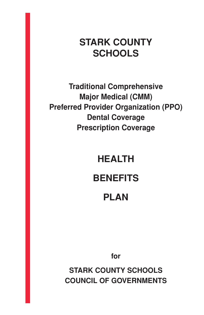## **STARK COUNTY SCHOOLS**

**Traditional Comprehensive Major Medical (CMM) Preferred Provider Organization (PPO) Dental Coverage Prescription Coverage**

## **HEALTH**

## **BENEFITS**

## **PLAN**

**for** 

**STARK COUNTY SCHOOLS COUNCIL OF GOVERNMENTS**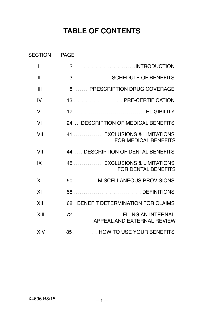## **TABLE OF CONTENTS**

|                                                             | <b>SECTION</b><br>PAGE |
|-------------------------------------------------------------|------------------------|
| 2 INTRODUCTION                                              | I                      |
| 3 SCHEDULE OF BENEFITS                                      | $\mathbf{I}$           |
| 8  PRESCRIPTION DRUG COVERAGE                               | III                    |
| 13  PRE-CERTIFICATION                                       | IV                     |
|                                                             | v                      |
| 24  DESCRIPTION OF MEDICAL BENEFITS                         | VI                     |
| 41  EXCLUSIONS & LIMITATIONS<br><b>FOR MEDICAL BENEFITS</b> | VII                    |
| 44  DESCRIPTION OF DENTAL BENEFITS                          | VIII                   |
| 48  EXCLUSIONS & LIMITATIONS<br><b>FOR DENTAL BENEFITS</b>  | IX                     |
| 50 MISCELLANEOUS PROVISIONS                                 | X                      |
| 58 DEFINITIONS                                              | XI                     |
| 68 BENEFIT DETERMINATION FOR CLAIMS                         | XII                    |
| 72  FILING AN INTERNAL<br>APPEAL AND EXTERNAL REVIEW        | XIII                   |
| 85  HOW TO USE YOUR BENEFITS                                | XIV                    |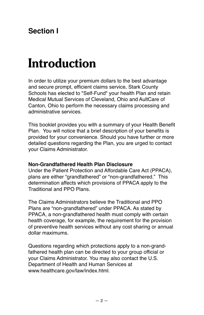## <span id="page-2-0"></span>**Section I**

# **Introduction**

In order to utilize your premium dollars to the best advantage and secure prompt, efficient claims service, Stark County Schools has elected to "Self-Fund" your health Plan and retain Medical Mutual Services of Cleveland, Ohio and AultCare of Canton, Ohio to perform the necessary claims processing and administrative services.

This booklet provides you with a summary of your Health Benefit Plan. You will notice that a brief description of your benefits is provided for your convenience. Should you have further or more detailed questions regarding the Plan, you are urged to contact your Claims Administrator.

### **Non-Grandfathered Health Plan Disclosure**

Under the Patient Protection and Affordable Care Act (PPACA), plans are either "grandfathered" or "non-grandfathered." This determination affects which provisions of PPACA apply to the Traditional and PPO Plans.

The Claims Administrators believe the Traditional and PPO Plans are "non-grandfathered" under PPACA. As stated by PPACA, a non-grandfathered health must comply with certain health coverage, for example, the requirement for the provision of preventive health services without any cost sharing or annual dollar maximums.

Questions regarding which protections apply to a non-grandfathered health plan can be directed to your group official or your Claims Administrator. You may also contact the U.S. Department of Health and Human Services at www.healthcare.gov/law/index.html.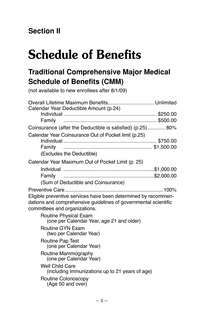## <span id="page-3-0"></span>**Section II**

## **Schedule of Benefits**

## **Traditional Comprehensive Major Medical Schedule of Benefits (CMM)**

(not available to new enrollees after 8/1/09)

| Overall Lifetime Maximum Benefits Unlimited                                                                                                                        |  |  |
|--------------------------------------------------------------------------------------------------------------------------------------------------------------------|--|--|
| Calendar Year Deductible Amount (p.24)                                                                                                                             |  |  |
| Family                                                                                                                                                             |  |  |
| Coinsurance (after the Deductible is satisfied) (p.25) 80%                                                                                                         |  |  |
| Calendar Year Coinsurance Out of Pocket limit (p.25)                                                                                                               |  |  |
|                                                                                                                                                                    |  |  |
| Family                                                                                                                                                             |  |  |
| (Excludes the Deductible)                                                                                                                                          |  |  |
| Calendar Year Maximum Out of Pocket Limit (p. 25)                                                                                                                  |  |  |
|                                                                                                                                                                    |  |  |
| Family                                                                                                                                                             |  |  |
| (Sum of Deductible and Coinsurance)                                                                                                                                |  |  |
| Eligible preventive services have been determined by recommen-<br>dations and comprehensive guidelines of governmental scientific<br>committees and organizations. |  |  |
| <b>Routine Physical Exam</b><br>(one per Calendar Year, age 21 and older)                                                                                          |  |  |
| <b>Routine GYN Exam</b><br>(two per Calendar Year)                                                                                                                 |  |  |
| <b>Routine Pap Test</b><br>(one per Calendar Year)                                                                                                                 |  |  |
| Routine Mammography<br>(one per Calendar Year)                                                                                                                     |  |  |
| <b>Well Child Care</b><br>(including immunizations up to 21 years of age)                                                                                          |  |  |
| Routine Colonoscopy<br>(Age 50 and over)                                                                                                                           |  |  |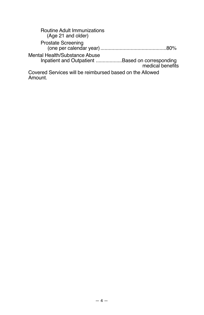| <b>Routine Adult Immunizations</b><br>(Age 21 and older)                         |                  |
|----------------------------------------------------------------------------------|------------------|
| <b>Prostate Screening</b>                                                        |                  |
| Mental Health/Substance Abuse<br>Inpatient and Outpatient Based on corresponding | medical benefits |
| Covered Services will be reimbursed based on the Allowed<br>Amount.              |                  |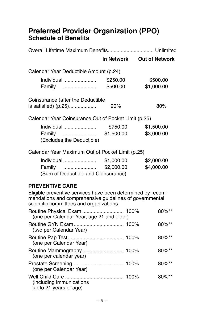## **Preferred Provider Organization (PPO) Schedule of Benefits**

|                                                                                                     |            | In Network Out of Network |
|-----------------------------------------------------------------------------------------------------|------------|---------------------------|
| Calendar Year Deductible Amount (p.24)                                                              |            |                           |
| $Individual$                                                                                        | \$250.00   | \$500.00                  |
| Family                                                                                              | \$500.00   | \$1,000.00                |
| Coinsurance (after the Deductible                                                                   |            |                           |
| is satisfied) (p.25)                                                                                | 90%        | 80%                       |
| Calendar Year Coinsurance Out of Pocket Limit (p.25)                                                |            |                           |
| Individual                                                                                          | \$750.00   | \$1,500.00                |
| Family                                                                                              | \$1,500.00 | \$3,000.00                |
| (Excludes the Deductible)                                                                           |            |                           |
| Calendar Year Maximum Out of Pocket Limit (p.25)                                                    |            |                           |
| Individual                                                                                          | \$1,000.00 | \$2,000.00                |
| Family                                                                                              | \$2,000.00 | \$4,000.00                |
| (Sum of Deductible and Coinsurance)                                                                 |            |                           |
| <b>PREVENTIVE CARE</b>                                                                              |            |                           |
| Eligible preventive services have been determined by recom-                                         |            |                           |
| mendations and comprehensive guidelines of governmental<br>scientific committees and organizations. |            |                           |
| Routine Physical Exam  100%<br>(one per Calendar Year, age 21 and older)                            |            | 80%**                     |
| (two per Calendar Year)                                                                             |            | 80%**                     |
| (one per Calendar Year)                                                                             |            | 80%**                     |
| (one per calendar year)                                                                             |            | 80%**                     |
| (one per Calendar Year)                                                                             |            | 80%**                     |
| (including immunizations                                                                            |            | $80\%$ **                 |

| (one per Calendar Year, age 21 and older)          | $80\%$ ** |
|----------------------------------------------------|-----------|
| (two per Calendar Year)                            | $80\%**$  |
| (one per Calendar Year)                            | $80\%**$  |
| (one per calendar year)                            | $80\%**$  |
| (one per Calendar Year)                            | $80\%**$  |
| (including immunizations<br>up to 21 years of age) | $80\%**$  |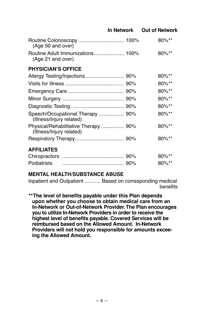|                                                                 | In Network | <b>Out of Network</b> |
|-----------------------------------------------------------------|------------|-----------------------|
| (Age 50 and over)                                               |            | $80\%$ **             |
| (Age 21 and over)                                               |            | 80%**                 |
| <b>PHYSICIAN'S OFFICE</b>                                       |            |                       |
|                                                                 |            | $80\%$ **             |
|                                                                 |            | $80\%$ **             |
|                                                                 |            | 80%**                 |
|                                                                 |            | $80\%$ **             |
|                                                                 |            | 80%**                 |
| Speech/Occupational Therapy 90%<br>(Illness/Injury related)     |            | 80%**                 |
| Physical/Rehabilitative Therapy 90%<br>(Illness/Injury related) |            | 80%**                 |
|                                                                 |            | 80%**                 |
| <b>AFFILIATES</b>                                               |            |                       |
|                                                                 |            | $80\%$ **             |
| Podiatrists                                                     |            | 80%**                 |

## **MENTAL HEALTH/SUBSTANCE ABUSE**

Inpatient and Outpatient ........... Based on corresponding medical benefits

**\*\*The level of benefits payable under this Plan depends upon whether you choose to obtain medical care from an In-Network or Out-of-Network Provider. The Plan encourages you to utilize In-Network Providers in order to receive the highest level of benefits payable. Covered Services will be reimbursed based on the Allowed Amount. In-Network Providers will not hold you responsible for amounts exceeing the Allowed Amount.**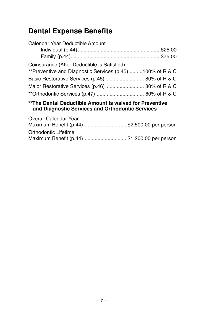## **Dental Expense Benefits**

| Calendar Year Deductible Amount                           |  |
|-----------------------------------------------------------|--|
|                                                           |  |
| Coinsurance (After Deductible is Satisfied)               |  |
| **Preventive and Diagnostic Services (p.45) 100% of R & C |  |
| Basic Restorative Services (p.45)  80% of R & C           |  |
| Major Restorative Services (p.46)  80% of R & C           |  |
|                                                           |  |
| **The Dental Deductible Amount is waived for Proventive   |  |

### **\*\*The Dental Deductible Amount is waived for Preventive and Diagnostic Services and Orthodontic Services**

| Overall Calendar Year                        |  |
|----------------------------------------------|--|
| Maximum Benefit (p.44) \$2,500.00 per person |  |
| Orthodontic Lifetime                         |  |
| Maximum Benefit (p.44) \$1,200.00 per person |  |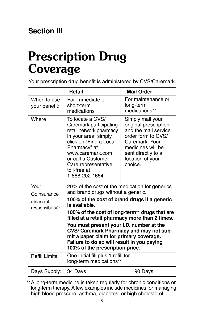## <span id="page-8-0"></span>**Prescription Drug Coverage**

Your prescription drug benefit is administered by CVS/Caremark.

|                                | <b>Retail</b>                                                                                                                                                                                                                                                                                                                                                                                                                                                                |  | <b>Mail Order</b>                                                                                                                                                                   |
|--------------------------------|------------------------------------------------------------------------------------------------------------------------------------------------------------------------------------------------------------------------------------------------------------------------------------------------------------------------------------------------------------------------------------------------------------------------------------------------------------------------------|--|-------------------------------------------------------------------------------------------------------------------------------------------------------------------------------------|
| When to use<br>your benefit:   | For immediate or<br>short-term<br>medications                                                                                                                                                                                                                                                                                                                                                                                                                                |  | For maintenance or<br>long-term<br>medications**                                                                                                                                    |
| Where:                         | To locate a CVS/<br>Caremark participating<br>retail network pharmacy<br>in your area, simply<br>click on "Find a Local<br>Pharmacy" at<br>www.caremark.com<br>or call a Customer<br>Care representative<br>toll-free at<br>1-888-202-1654                                                                                                                                                                                                                                   |  | Simply mail your<br>original prescription<br>and the mail service<br>order form to CVS/<br>Caremark. Your<br>medicines will be<br>sent directly to a<br>location of your<br>choice. |
| Your<br>Coinsurance            | 20% of the cost of the medication for generics<br>and brand drugs without a generic.<br>100% of the cost of brand drugs if a generic<br>is available.<br>100% of the cost of long-term** drugs that are<br>filled at a retail pharmacy more than 2 times.<br>You must present your I.D. number at the<br>CVS/ Caremark Pharmacy and may not sub-<br>mit a paper claim for primary coverage.<br>Failure to do so will result in you paying<br>100% of the prescription price. |  |                                                                                                                                                                                     |
| (financial<br>responsibility): |                                                                                                                                                                                                                                                                                                                                                                                                                                                                              |  |                                                                                                                                                                                     |
|                                |                                                                                                                                                                                                                                                                                                                                                                                                                                                                              |  |                                                                                                                                                                                     |
|                                |                                                                                                                                                                                                                                                                                                                                                                                                                                                                              |  |                                                                                                                                                                                     |
| <b>Refill Limits:</b>          | One initial fill plus 1 refill for<br>long-term medications**                                                                                                                                                                                                                                                                                                                                                                                                                |  |                                                                                                                                                                                     |
| Days Supply:                   | 34 Days                                                                                                                                                                                                                                                                                                                                                                                                                                                                      |  | 90 Days                                                                                                                                                                             |

\*\*A long-term medicine is taken regularly for chronic conditions or long-term therapy. A few examples include medicines for managing high blood pressure, asthma, diabetes, or high cholesterol.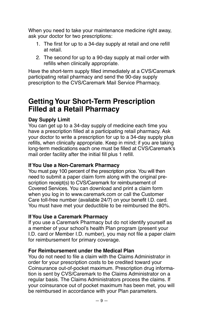When you need to take your maintenance medicine right away, ask your doctor for two prescriptions:

- 1. The first for up to a 34-day supply at retail and one refill at retail.
- 2. The second for up to a 90-day supply at mail order with refills when clinically appropriate.

Have the short-term supply filled immediately at a CVS/Caremark participating retail pharmacy and send the 90-day supply prescription to the CVS/Caremark Mail Service Pharmacy.

## **Getting Your Short-Term Prescription Filled at a Retail Pharmacy**

## **Day Supply Limit**

You can get up to a 34-day supply of medicine each time you have a prescription filled at a participating retail pharmacy. Ask your doctor to write a prescription for up to a 34-day supply plus refills, when clinically appropriate. Keep in mind; if you are taking long-term medications each one must be filled at CVS/Caremark's mail order facility after the initial fill plus 1 refill.

### **If You Use a Non-Caremark Pharmacy**

You must pay 100 percent of the prescription price. You will then need to submit a paper claim form along with the original prescription receipt(s) to CVS/Caremark for reimbursement of Covered Services. You can download and print a claim form when you log in to www.caremark.com or call the Customer Care toll-free number (available 24/7) on your benefit I.D. card. You must have met your deductible to be reimbursed the 80%.

### **If You Use a Caremark Pharmacy**

If you use a Caremark Pharmacy but do not identify yourself as a member of your school's health Plan program (present your I.D. card or Member I.D. number), you may not file a paper claim for reimbursement for primary coverage.

### **For Reimbursement under the Medical Plan**

You do not need to file a claim with the Claims Administrator in order for your prescription costs to be credited toward your Coinsurance out-of-pocket maximum. Prescription drug information is sent by CVS/Caremark to the Claims Administrator on a regular basis. The Claims Administrators process the claims. If your coinsurance out of pocket maximum has been met, you will be reimbursed in accordance with your Plan parameters.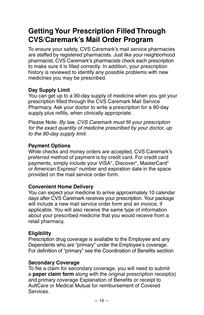## **Getting Your Prescription Filled Through CVS/Caremark's Mail Order Program**

To ensure your safety, CVS Caremark's mail service pharmacies are staffed by registered pharmacists. Just like your neighborhood pharmacist, CVS Caremark's pharmacists check each prescription to make sure it is filled correctly. In addition, your prescription history is reviewed to identify any possible problems with new medicines you may be prescribed.

## **Day Supply Limit**

You can get up to a 90-day supply of medicine when you get your prescription filled through the CVS Caremark Mail Service Pharmacy. Ask your doctor to write a prescription for a 90-day supply plus refills, when clinically appropriate.

Please Note: *By law, CVS Caremark must fill your prescription for the exact quantity of medicine prescribed by your doctor, up to the 90-day supply limit.*

## **Payment Options**

While checks and money orders are accepted, CVS Caremark's preferred method of payment is by credit card. For credit card payments, simply include your VISA®, Discover®, MasterCard® or American Express® number and expiration date in the space provided on the mail service order form.

## **Convenient Home Delivery**

You can expect your medicine to arrive approximately 10 calendar days after CVS Caremark receives your prescription. Your package will include a new mail service order form and an invoice, if applicable. You will also receive the same type of information about your prescribed medicine that you would receive from a retail pharmacy.

## **Eligibility**

Prescription drug coverage is available to the Employee and any Dependents who are "primary" under the Employee's coverage. For definition of "primary" see the Coordination of Benefits sectiion.

### **Secondary Coverage**

To file a claim for secondary coverage, you will need to submit a **paper claim form** along with the original prescription receipt(s) and primary coverage Explanation of Benefits or receipt to AultCare or Medical Mutual for reimbursement of Covered Services.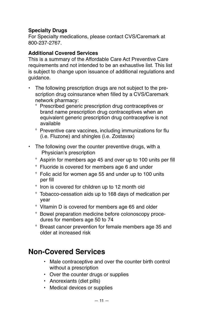### **Specialty Drugs**

For Specialty medications, please contact CVS/Caremark at 800-237-2767.

### **Additional Covered Services**

This is a summary of the Affordable Care Act Preventive Care requirements and not intended to be an exhaustive list. This list is subject to change upon issuance of additional regulations and guidance.

- The following prescription drugs are not subject to the prescription drug coinsurance when filled by a CVS/Caremark network pharmacy:
	- <sup>o</sup> Prescribed generic prescription drug contraceptives or brand name prescription drug contraceptives when an equivalent generic prescription drug contraceptive is not available
	- <sup>o</sup> Preventive care vaccines, including immunizations for flu (i.e. Fluzone) and shingles (i.e. Zostavax)
- The following over the counter preventive drugs, with a Physician's prescription
	- Aspirin for members age 45 and over up to 100 units per fill
	- Fluoride is covered for members age 6 and under
	- Folic acid for women age 55 and under up to 100 units per fill
	- $\degree$  Iron is covered for children up to 12 month old
	- Tobacco-cessation aids up to 168 days of medication per year
	- ° Vitamin D is covered for members age 65 and older
	- Bowel preparation medicine before colonoscopy procedures for members age 50 to 74
	- Breast cancer prevention for female members age 35 and older at increased risk

## **Non-Covered Services**

- Male contraceptive and over the counter birth control without a prescription
- Over the counter drugs or supplies
- Anorexiants (diet pills)
- Medical devices or supplies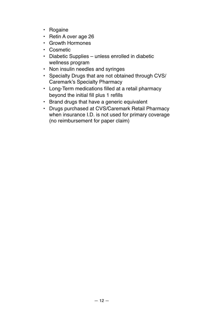- Rogaine
- Retin A over age 26
- Growth Hormones
- Cosmetic
- Diabetic Supplies unless enrolled in diabetic wellness program
- Non insulin needles and syringes
- Specialty Drugs that are not obtained through CVS/ Caremark's Specialty Pharmacy
- Long-Term medications filled at a retail pharmacy beyond the initial fill plus 1 refills
- Brand drugs that have a generic equivalent
- Drugs purchased at CVS/Caremark Retail Pharmacy when insurance I.D. is not used for primary coverage (no reimbursement for paper claim)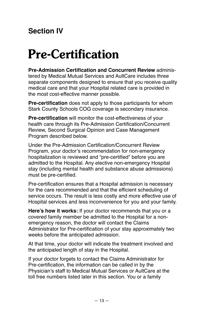## <span id="page-13-0"></span>**Section IV**

# **Pre-Certification**

**Pre-Admission Certification and Concurrent Review** administered by Medical Mutual Services and AultCare includes three separate components designed to ensure that you receive quality medical care and that your Hospital related care is provided in the most cost-effective manner possible.

**Pre-certification** does not apply to those participants for whom Stark County Schools COG coverage is secondary insurance.

**Pre-certification** will monitor the cost-effectiveness of your health care through its Pre-Admission Certification/Concurrent Review, Second Surgical Opinion and Case Management Program described below.

Under the Pre-Admission Certification/Concurrent Review Program, your doctor's recommendation for non-emergency hospitalization is reviewed and "pre-certified" before you are admitted to the Hospital. Any elective non-emergency Hospital stay (including mental health and substance abuse admissions) must be pre-certified.

Pre-certification ensures that a Hospital admission is necessary for the care recommended and that the efficient scheduling of service occurs. The result is less costly and more effective use of Hospital services and less inconvenience for you and your family.

**Here's how it works:** If your doctor recommends that you or a covered family member be admitted to the Hospital for a nonemergency reason, the doctor will contact the Claims Administrator for Pre-certification of your stay approximately two weeks before the anticipated admission.

At that time, your doctor will indicate the treatment involved and the anticipated length of stay in the Hospital.

If your doctor forgets to contact the Claims Administrator for Pre-certification, the information can be called in by the Physician's staff to Medical Mutual Services or AultCare at the toll free numbers listed later in this section. You or a family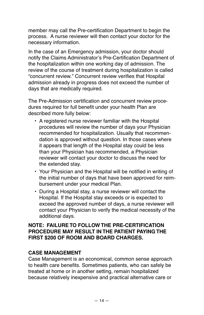member may call the Pre-certification Department to begin the process. A nurse reviewer will then contact your doctor for the necessary information.

In the case of an Emergency admission, your doctor should notify the Claims Administrator's Pre-Certification Department of the hospitalization within one working day of admission. The review of the course of treatment during hospitalization is called "concurrent review." Concurrent review verifies that Hospital admission already in progress does not exceed the number of days that are medically required.

The Pre-Admission certification and concurrent review procedures required for full benefit under your health Plan are described more fully below:

- A registered nurse reviewer familiar with the Hospital procedures will review the number of days your Physician recommended for hospitalization. Usually that recommendation is approved without question. In those cases where it appears that length of the Hospital stay could be less than your Physician has recommended, a Physician reviewer will contact your doctor to discuss the need for the extended stay.
- Your Physician and the Hospital will be notified in writing of the initial number of days that have been approved for reimbursement under your medical Plan.
- During a Hospital stay, a nurse reviewer will contact the Hospital. If the Hospital stay exceeds or is expected to exceed the approved number of days, a nurse reviewer will contact your Physician to verify the medical necessity of the additional days.

### **NOTE: FAILURE TO FOLLOW THE PRE-CERTIFICATION PROCEDURE MAY RESULT IN THE PATIENT PAYING THE FIRST \$200 OF ROOM AND BOARD CHARGES.**

## **CASE MANAGEMENT**

Case Management is an economical, common sense approach to health care benefits. Sometimes patients, who can safely be treated at home or in another setting, remain hospitalized because relatively inexpensive and practical alternative care or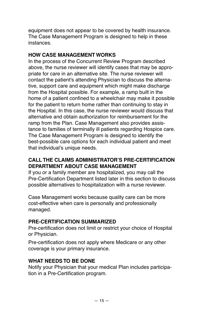equipment does not appear to be covered by health insurance. The Case Management Program is designed to help in these instances.

### **HOW CASE MANAGEMENT WORKS**

In the process of the Concurrent Review Program described above, the nurse reviewer will identify cases that may be appropriate for care in an alternative site. The nurse reviewer will contact the patient's attending Physician to discuss the alternative, support care and equipment which might make discharge from the Hospital possible. For example, a ramp built in the home of a patient confined to a wheelchair may make it possible for the patient to return home rather than continuing to stay in the Hospital. In this case, the nurse reviewer would discuss that alternative and obtain authorization for reimbursement for the ramp from the Plan. Case Management also provides assistance to families of terminally ill patients regarding Hospice care. The Case Management Program is designed to identify the best- possible care options for each individual patient and meet that individual's unique needs.

## **CALL THE CLAIMS ADMINISTRATOR'S PRE-CERTIFICATION DEPARTMENT ABOUT CASE MANAGEMENT**

If you or a family member are hospitalized, you may call the Pre-Certification Department listed later in this section to discuss possible alternatives to hospitalization with a nurse reviewer.

Case Management works because quality care can be more cost-effective when care is personally and professionally managed.

## **PRE-CERTIFICATION SUMMARIZED**

Pre-certification does not limit or restrict your choice of Hospital or Physician.

Pre-certification does not apply where Medicare or any other coverage is your primary insurance.

## **WHAT NEEDS TO BE DONE**

Notify your Physician that your medical Plan includes participation in a Pre-Certification program.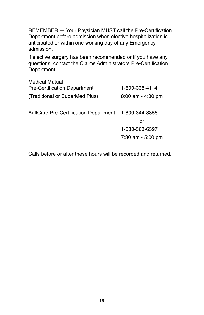REMEMBER — Your Physician MUST call the Pre-Certification Department before admission when elective hospitalization is anticipated or within one working day of any Emergency admission.

If elective surgery has been recommended or if you have any questions, contact the Claims Administrators Pre-Certification Department.

| Medical Mutual<br><b>Pre-Certification Department</b> | 1-800-338-4114        |
|-------------------------------------------------------|-----------------------|
|                                                       |                       |
| (Traditional or SuperMed Plus)                        | $8:00$ am - $4:30$ pm |
|                                                       |                       |
| AultCare Pre-Certification Department                 | 1-800-344-8858        |
|                                                       | or                    |
|                                                       | 1-330-363-6397        |
|                                                       | 7:30 am - 5:00 pm     |
|                                                       |                       |

Calls before or after these hours will be recorded and returned.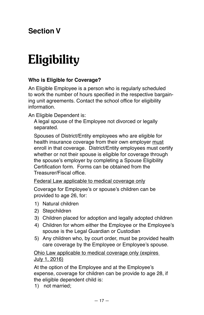## <span id="page-17-0"></span>**Section V**

# **Eligibility**

## **Who is Eligible for Coverage?**

An Eligible Employee is a person who is regularly scheduled to work the number of hours specified in the respective bargaining unit agreements. Contact the school office for eligibility information.

An Eligible Dependent is:

A legal spouse of the Employee not divorced or legally separated.

Spouses of District/Entity employees who are eligible for health insurance coverage from their own employer must enroll in that coverage. District/Entity employees must certify whether or not their spouse is eligible for coverage through the spouse's employer by completing a Spouse Eligibility Certification form. Forms can be obtained from the Treasurer/Fiscal office.

Federal Law applicable to medical coverage only

Coverage for Employee's or spouse's children can be provided to age 26, for:

- 1) Natural children
- 2) Stepchildren
- 3) Children placed for adoption and legally adopted children
- 4) Children for whom either the Employee or the Employee's spouse is the Legal Guardian or Custodian
- 5) Any children who, by court order, must be provided health care coverage by the Employee or Employee's spouse.

Ohio Law applicable to medical coverage only (expires July 1, 2016)

At the option of the Employee and at the Employee's expense, coverage for children can be provide to age 28, if the eligible dependent child is:

1) not married;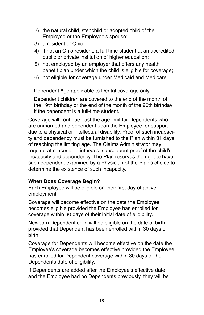- 2) the natural child, stepchild or adopted child of the Employee or the Employee's spouse;
- 3) a resident of Ohio;
- 4) if not an Ohio resident, a full time student at an accredited public or private institution of higher education;
- 5) not employed by an employer that offers any health benefit plan under which the child is eligible for coverage;
- 6) not eligible for coverage under Medicaid and Medicare.

### Dependent Age applicable to Dental coverage only

Dependent children are covered to the end of the month of the 19th birthday or the end of the month of the 26th birthday if the dependent is a full-time student.

Coverage will continue past the age limit for Dependents who are unmarried and dependent upon the Employee for support due to a physical or intellectual disability. Proof of such incapacity and dependency must be furnished to the Plan within 31 days of reaching the limiting age. The Claims Administrator may require, at reasonable intervals, subsequent proof of the child's incapacity and dependency. The Plan reserves the right to have such dependent examined by a Physician of the Plan's choice to determine the existence of such incapacity.

### **When Does Coverage Begin?**

Each Employee will be eligible on their first day of active employment.

Coverage will become effective on the date the Employee becomes eligible provided the Employee has enrolled for coverage within 30 days of their initial date of eligibility.

Newborn Dependent child will be eligible on the date of birth provided that Dependent has been enrolled within 30 days of birth.

Coverage for Dependents will become effective on the date the Employee's coverage becomes effective provided the Employee has enrolled for Dependent coverage within 30 days of the Dependents date of eligibility.

If Dependents are added after the Employee's effective date, and the Employee had no Dependents previously, they will be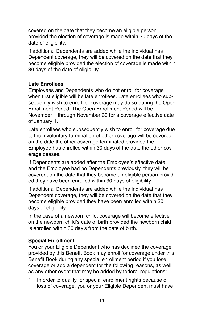covered on the date that they become an eligible person provided the election of coverage is made within 30 days of the date of eligibility.

If additional Dependents are added while the individual has Dependent coverage, they will be covered on the date that they become eligible provided the election of coverage is made within 30 days of the date of eligibility.

## **Late Enrollees**

Employees and Dependents who do not enroll for coverage when first eligible will be late enrollees. Late enrollees who subsequently wish to enroll for coverage may do so during the Open Enrollment Period. The Open Enrollment Period will be November 1 through November 30 for a coverage effective date of January 1.

Late enrollees who subsequently wish to enroll for coverage due to the involuntary termination of other coverage will be covered on the date the other coverage terminated provided the Employee has enrolled within 30 days of the date the other coverage ceases.

If Dependents are added after the Employee's effective date, and the Employee had no Dependents previously, they will be covered, on the date that they become an eligible person provided they have been enrolled within 30 days of eligibility.

If additional Dependents are added while the individual has Dependent coverage, they will be covered on the date that they become eligible provided they have been enrolled within 30 days of eligibility.

In the case of a newborn child, coverage will become effective on the newborn child's date of birth provided the newborn child is enrolled within 30 day's from the date of birth.

## **Special Enrollment**

You or your Eligible Dependent who has declined the coverage provided by this Benefit Book may enroll for coverage under this Benefit Book during any special enrollment period if you lose coverage or add a dependent for the following reasons, as well as any other event that may be added by federal regulations:

1. In order to qualify for special enrollment rights because of loss of coverage, you or your Eligible Dependent must have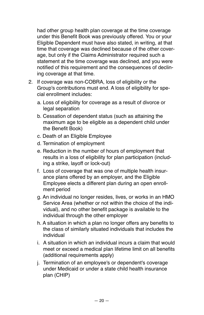had other group health plan coverage at the time coverage under this Benefit Book was previously offered. You or your Eligible Dependent must have also stated, in writing, at that time that coverage was declined because of the other coverage, but only if the Claims Administrator required such a statement at the time coverage was declined, and you were notified of this requirement and the consequences of declining coverage at that time.

- 2. If coverage was non-COBRA, loss of eligibility or the Group's contributions must end. A loss of eligibility for special enrollment includes:
	- a. Loss of eligibility for coverage as a result of divorce or legal separation
	- b. Cessation of dependent status (such as attaining the maximum age to be eligible as a dependent child under the Benefit Book)
	- c. Death of an Eligible Employee
	- d. Termination of employment
	- e. Reduction in the number of hours of employment that results in a loss of eligibility for plan participation (including a strike, layoff or lock-out)
	- f. Loss of coverage that was one of multiple health insurance plans offered by an employer, and the Eligible Employee elects a different plan during an open enrollment period
	- g. An individual no longer resides, lives, or works in an HMO Service Area (whether or not within the choice of the individual), and no other benefit package is available to the individual through the other employer
	- h. A situation in which a plan no longer offers any benefits to the class of similarly situated individuals that includes the individual
	- i. A situation in which an individual incurs a claim that would meet or exceed a medical plan lifetime limit on all benefits (additional requirements apply)
	- j. Termination of an employee's or dependent's coverage under Medicaid or under a state child health insurance plan (CHIP)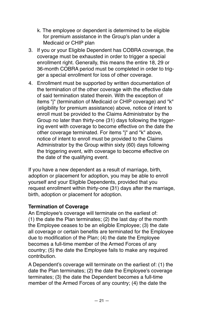- k. The employee or dependent is determined to be eligible for premium assistance in the Group's plan under a Medicaid or CHIP plan
- 3. If you or your Eligible Dependent has COBRA coverage, the coverage must be exhausted in order to trigger a special enrollment right. Generally, this means the entire 18, 29 or 36-month COBRA period must be completed in order to trigger a special enrollment for loss of other coverage.
- 4. Enrollment must be supported by written documentation of the termination of the other coverage with the effective date of said termination stated therein. With the exception of items "j" (termination of Medicaid or CHIP coverage) and "k" (eligibility for premium assistance) above, notice of intent to enroll must be provided to the Claims Administrator by the Group no later than thirty-one (31) days following the triggering event with coverage to become effective on the date the other coverage terminated. For items "j" and "k" above, notice of intent to enroll must be provided to the Claims Administrator by the Group within sixty (60) days following the triggering event, with coverage to become effective on the date of the qualifying event.

If you have a new dependent as a result of marriage, birth, adoption or placement for adoption, you may be able to enroll yourself and your Eligible Dependents, provided that you request enrollment within thirty-one (31) days after the marriage, birth, adoption or placement for adoption.

## **Termination of Coverage**

An Employee's coverage will terminate on the earliest of: (1) the date the Plan terminates; (2) the last day of the month the Employee ceases to be an eligible Employee; (3) the date all coverage or certain benefits are terminated for the Employee due to modification of the Plan; (4) the date the Employee becomes a full-time member of the Armed Forces of any country; (5) the date the Employee fails to make any required contribution.

A Dependent's coverage will terminate on the earliest of: (1) the date the Plan terminates; (2) the date the Employee's coverage terminates; (3) the date the Dependent becomes a full-time member of the Armed Forces of any country; (4) the date the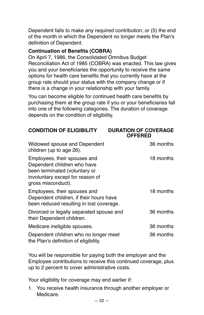Dependent fails to make any required contribution; or (5) the end of the month in which the Dependent no longer meets the Plan's definition of Dependent.

### **Continuation of Benefits (COBRA)**

On April 7, 1986, the Consolidated Omnibus Budget Reconciliation Act of 1985 (COBRA) was enacted. This law gives you and your beneficiaries the opportunity to receive the same options for health care benefits that you currently have at the group rate should your status with the company change or if there is a change in your relationship with your family.

You can become eligible for continued health care benefits by purchasing them at the group rate if you or your beneficiaries fall into one of the following categories. The duration of coverage depends on the condition of eligibility.

| <b>CONDITION OF ELIGIBILITY</b>                                                                                                                        | <b>DURATION OF COVERAGE</b><br><b>OFFERED</b> |
|--------------------------------------------------------------------------------------------------------------------------------------------------------|-----------------------------------------------|
| Widowed spouse and Dependent<br>children (up to age 26).                                                                                               | 36 months                                     |
| Employees, their spouses and<br>Dependent children who have<br>been terminated (voluntary or<br>involuntary except for reason of<br>gross misconduct). | 18 months                                     |
| Employees, their spouses and<br>Dependent children, if their hours have<br>been reduced resulting in lost coverage.                                    | 18 months                                     |
| Divorced or legally separated spouse and<br>their Dependent children.                                                                                  | 36 months                                     |
| Medicare ineligible spouses.                                                                                                                           | 36 months                                     |
| Dependent children who no longer meet<br>the Plan's definition of eligibility.                                                                         | 36 months                                     |

You will be responsible for paying both the employer and the Employee contributions to receive this continued coverage, plus up to 2 percent to cover administrative costs.

Your eligibility for coverage may end earlier if:

1. You receive health insurance through another employer or Medicare.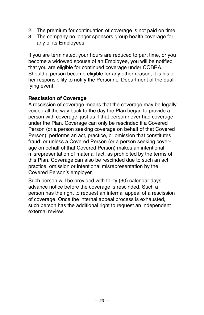- 2. The premium for continuation of coverage is not paid on time.
- 3. The company no longer sponsors group health coverage for any of its Employees.

If you are terminated, your hours are reduced to part time, or you become a widowed spouse of an Employee, you will be notified that you are eligible for continued coverage under COBRA. Should a person become eligible for any other reason, it is his or her responsibility to notify the Personnel Department of the qualifying event.

### **Rescission of Coverage**

A rescission of coverage means that the coverage may be legally voided all the way back to the day the Plan began to provide a person with coverage, just as if that person never had coverage under the Plan. Coverage can only be rescinded if a Covered Person (or a person seeking coverage on behalf of that Covered Person), performs an act, practice, or omission that constitutes fraud; or unless a Covered Person (or a person seeking coverage on behalf of that Covered Person) makes an intentional misrepresentation of material fact, as prohibited by the terms of this Plan. Coverage can also be rescinded due to such an act, practice, omission or intentional misrepresentation by the Covered Person's employer.

Such person will be provided with thirty (30) calendar days' advance notice before the coverage is rescinded. Such a person has the right to request an internal appeal of a rescission of coverage. Once the internal appeal process is exhausted, such person has the additional right to request an independent external review.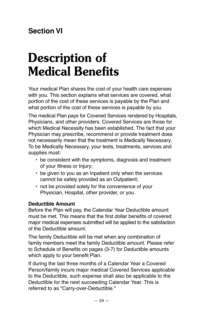## <span id="page-24-0"></span>**Section VI**

# **Description of Medical Benefits**

Your medical Plan shares the cost of your health care expenses with you. This section explains what services are covered, what portion of the cost of these services is payable by the Plan and what portion of the cost of these services is payable by you.

The medical Plan pays for Covered Services rendered by Hospitals, Physicians, and other providers. Covered Services are those for which Medical Necessity has been established. The fact that your Physician may prescribe, recommend or provide treatment does not necessarily mean that the treatment is Medically Necessary. To be Medically Necessary, your tests, treatments, services and supplies must:

- be consistent with the symptoms, diagnosis and treatment of your Illness or Injury;
- be given to you as an Inpatient only when the services cannot be safely provided as an Outpatient;
- not be provided solely for the convenience of your Physician, Hospital, other provider, or you.

### **Deductible Amount**

Before the Plan will pay, the Calendar Year Deductible amount must be met. This means that the first dollar benefits of covered major medical expenses submitted will be applied to the satisfaction of the Deductible amount.

The family Deductible will be met when any combination of family members meet the family Deductible amount. Please refer to Schedule of Benefits on pages (3-7) for Deductible amounts which apply to your benefit Plan.

If during the last three months of a Calendar Year a Covered Person/family incurs major medical Covered Services applicable to the Deductible, such expense shall also be applicable to the Deductible for the next succeeding Calendar Year. This is referred to as "Carry-over-Deductible."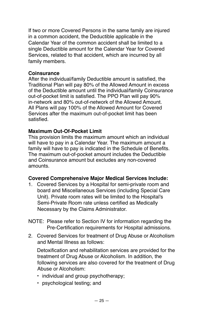If two or more Covered Persons in the same family are injured in a common accident, the Deductible applicable in the Calendar Year of the common accident shall be limited to a single Deductible amount for the Calendar Year for Covered Services, related to that accident, which are incurred by all family members.

#### **Coinsurance**

After the individual/family Deductible amount is satisfied, the Traditional Plan will pay 80% of the Allowed Amount in excess of the Deductible amount until the individual/family Coinsurance out-of-pocket limit is satisfied. The PPO Plan will pay 90% in-network and 80% out-of-network of the Allowed Amount. All Plans will pay 100% of the Allowed Amount for Covered Services after the maximum out-of-pocket limit has been satisfied.

#### **Maximum Out-Of-Pocket Limit**

This provision limits the maximum amount which an individual will have to pay in a Calendar Year. The maximum amount a family will have to pay is indicated in the Schedule of Benefits. The maximum out-of-pocket amount includes the Deductible and Coinsurance amount but excludes any non-covered amounts.

### **Covered Comprehensive Major Medical Services Include:**

- 1. Covered Services by a Hospital for semi-private room and board and Miscellaneous Services (including Special Care Unit). Private room rates will be limited to the Hospital's Semi-Private Room rate unless certified as Medically Necessary by the Claims Administrator.
- NOTE: Please refer to Section IV for information regarding the Pre-Certification requirements for Hospital admissions.
- 2. Covered Services for treatment of Drug Abuse or Alcoholism and Mental Illness as follows:

Detoxification and rehabilitation services are provided for the treatment of Drug Abuse or Alcoholism. In addition, the following services are also covered for the treatment of Drug Abuse or Alcoholism:

- individual and group psychotherapy;
- psychological testing; and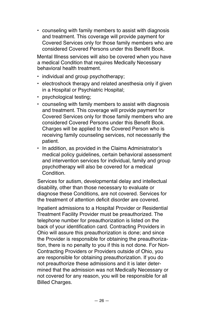• counseling with family members to assist with diagnosis and treatment. This coverage will provide payment for Covered Services only for those family members who are considered Covered Persons under this Benefit Book.

Mental Illness services will also be covered when you have a medical Condition that requires Medically Necessary behavioral health treatment.

- individual and group psychotherapy;
- electroshock therapy and related anesthesia only if given in a Hospital or Psychiatric Hospital;
- psychological testing;
- counseling with family members to assist with diagnosis and treatment. This coverage will provide payment for Covered Services only for those family members who are considered Covered Persons under this Benefit Book. Charges will be applied to the Covered Person who is receiving family counseling services, not necessarily the patient.
- In addition, as provided in the Claims Administrator's medical policy guidelines, certain behavioral assessment and intervention services for individual, family and group psychotherapy will also be covered for a medical Condition.

Services for autism, developmental delay and intellectual disability, other than those necessary to evaluate or diagnose these Conditions, are not covered. Services for the treatment of attention deficit disorder are covered.

Inpatient admissions to a Hospital Provider or Residential Treatment Facility Provider must be preauthorized. The telephone number for preauthorization is listed on the back of your identification card. Contracting Providers in Ohio will assure this preauthorization is done; and since the Provider is responsible for obtaining the preauthorization, there is no penalty to you if this is not done. For Non-Contracting Providers or Providers outside of Ohio, you are responsible for obtaining preauthorization. If you do not preauthorize these admissions and it is later determined that the admission was not Medically Necessary or not covered for any reason, you will be responsible for all Billed Charges.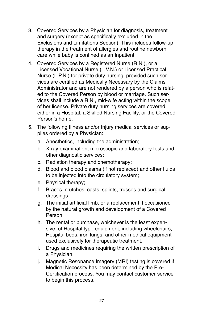- 3. Covered Services by a Physician for diagnosis, treatment and surgery (except as specifically excluded in the Exclusions and Limitations Section). This includes follow-up therapy in the treatment of allergies and routine newborn care while baby is confined as an Inpatient.
- 4. Covered Services by a Registered Nurse (R.N.), or a Licensed Vocational Nurse (L.V.N.) or Licensed Practical Nurse (L.P.N.) for private duty nursing, provided such services are certified as Medically Necessary by the Claims Administrator and are not rendered by a person who is related to the Covered Person by blood or marriage. Such services shall include a R.N., mid-wife acting within the scope of her license. Private duty nursing services are covered either in a Hospital, a Skilled Nursing Facility, or the Covered Person's home.
- 5. The following Illness and/or Injury medical services or supplies ordered by a Physician:
	- a. Anesthetics, including the administration;
	- b. X-ray examination, microscopic and laboratory tests and other diagnostic services;
	- c. Radiation therapy and chemotherapy;
	- d. Blood and blood plasma (if not replaced) and other fluids to be injected into the circulatory system;
	- e. Physical therapy;
	- f. Braces, crutches, casts, splints, trusses and surgical dressings;
	- g. The initial artificial limb, or a replacement if occasioned by the natural growth and development of a Covered Person.
	- h. The rental or purchase, whichever is the least expensive, of Hospital type equipment, including wheelchairs, Hospital beds, iron lungs, and other medical equipment used exclusively for therapeutic treatment.
	- i. Drugs and medicines requiring the written prescription of a Physician.
	- j. Magnetic Resonance Imagery (MRI) testing is covered if Medical Necessity has been determined by the Pre-Certification process. You may contact customer service to begin this process.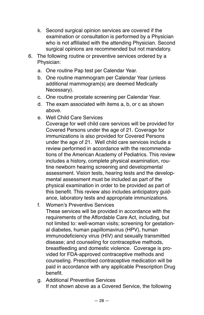- k. Second surgical opinion services are covered if the examination or consultation is performed by a Physician who is not affiliated with the attending Physician. Second surgical opinions are recommended but not mandatory.
- 6. The following routine or preventive services ordered by a Physician:
	- a. One routine Pap test per Calendar Year.
	- b. One routine mammogram per Calendar Year (unless additional mammogram(s) are deemed Medically Necessary).
	- c. One routine prostate screening per Calendar Year.
	- d. The exam associated with items a, b, or c as shown above.
	- e. Well Child Care Services

Coverage for well child care services will be provided for Covered Persons under the age of 21. Coverage for immunizations is also provided for Covered Persons under the age of 21. Well child care services include a review performed in accordance with the recommendations of the American Academy of Pediatrics. This review includes a history, complete physical examination, routine newborn hearing screening and developmental assessment. Vision tests, hearing tests and the developmental assessment must be included as part of the physical examination in order to be provided as part of this benefit. This review also includes anticipatory guidance, laboratory tests and appropriate immunizations.

f. Women's Preventive Services

These services will be provided in accordance with the requirements of the Affordable Care Act, including, but not limited to: well-woman visits; screening for gestational diabetes, human papillomavirus (HPV), human immunodeficiency virus (HIV) and sexually transmitted disease; and counseling for contraceptive methods, breastfeeding and domestic violence. Coverage is provided for FDA-approved contraceptive methods and counseling. Prescribed contraceptive medication will be paid in accordance with any applicable Prescription Drug benefit.

g. Additional Preventive Services If not shown above as a Covered Service, the following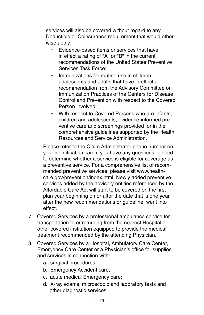services will also be covered without regard to any Deductible or Coinsurance requirement that would otherwise apply:

- Evidence-based items or services that have in effect a rating of "A" or "B" in the current recommendations of the United States Preventive Services Task Force;
- Immunizations for routine use in children adolescents and adults that have in effect a recommendation from the Advisory Committee on Immunization Practices of the Centers for Disease Control and Prevention with respect to the Covered Person involved;
- With respect to Covered Persons who are infants, children and adolescents, evidence-informed preventive care and screenings provided for in the comprehensive guidelines supported by the Health Resources and Service Administration.

Please refer to the Claim Administrator phone number on your identification card if you have any questions or need to determine whether a service is eligible for coverage as a preventive service. For a comprehensive list of recommended preventive services, please visit www.healthcare.gov/prevention/index.html. Newly added preventive services added by the advisory entities referenced by the Affordable Care Act will start to be covered on the first plan year beginning on or after the date that is one year after the new recommendations or guideline, went into effect.

- 7. Covered Services by a professional ambulance service for transportation to or returning from the nearest Hospital or other covered institution equipped to provide the medical treatment recommended by the attending Physician.
- 8. Covered Services by a Hospital, Ambulatory Care Center, Emergency Care Center or a Physician's office for supplies and services in connection with:
	- a. surgical procedures;
	- b. Emergency Accident care;
	- c. acute medical Emergency care;
	- d. X-ray exams, microscopic and laboratory tests and other diagnostic services.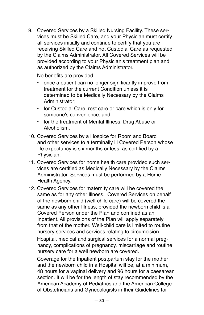9. Covered Services by a Skilled Nursing Facility. These services must be Skilled Care, and your Physician must certify all services initially and continue to certify that you are receiving Skilled Care and not Custodial Care as requested by the Claims Administrator. All Covered Services will be provided according to your Physician's treatment plan and as authorized by the Claims Administrator.

No benefits are provided:

- once a patient can no longer significantly improve from treatment for the current Condition unless it is determined to be Medically Necessary by the Claims Administrator;
- for Custodial Care, rest care or care which is only for someone's convenience; and
- for the treatment of Mental Illness, Drug Abuse or Alcoholism.
- 10. Covered Services by a Hospice for Room and Board and other services to a terminally ill Covered Person whose life expectancy is six months or less, as certified by a Physician.
- 11. Covered Services for home health care provided such services are certified as Medically Necessary by the Claims Administrator. Services must be performed by a Home Health Agency.
- 12. Covered Services for maternity care will be covered the same as for any other Illness. Covered Services on behalf of the newborn child (well-child care) will be covered the same as any other Illness, provided the newborn child is a Covered Person under the Plan and confined as an Inpatient. All provisions of the Plan will apply separately from that of the mother. Well-child care is limited to routine nursery services and services relating to circumcision.

Hospital, medical and surgical services for a normal pregnancy, complications of pregnancy, miscarriage and routine nursery care for a well newborn are covered.

Coverage for the Inpatient postpartum stay for the mother and the newborn child in a Hospital will be, at a minimum, 48 hours for a vaginal delivery and 96 hours for a caesarean section. It will be for the length of stay recommended by the American Academy of Pediatrics and the American College of Obstetricians and Gynecologists in their Guidelines for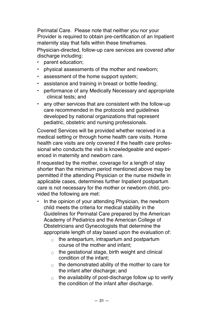Perinatal Care. Please note that neither you nor your Provider is required to obtain pre-certification of an Inpatient maternity stay that falls within these timeframes.

Physician-directed, follow-up care services are covered after discharge including:

- parent education;
- physical assessments of the mother and newborn;
- assessment of the home support system;
- assistance and training in breast or bottle feeding;
- performance of any Medically Necessary and appropriate clinical tests; and
- any other services that are consistent with the follow-up care recommended in the protocols and guidelines developed by national organizations that represent pediatric, obstetric and nursing professionals.

Covered Services will be provided whether received in a medical setting or through home health care visits. Home health care visits are only covered if the health care professional who conducts the visit is knowledgeable and experienced in maternity and newborn care.

If requested by the mother, coverage for a length of stay shorter than the minimum period mentioned above may be permitted if the attending Physician or the nurse midwife in applicable cases, determines further Inpatient postpartum care is not necessary for the mother or newborn child, provided the following are met:

- In the opinion of your attending Physician, the newborn child meets the criteria for medical stability in the Guidelines for Perinatal Care prepared by the American Academy of Pediatrics and the American College of Obstetricians and Gynecologists that determine the appropriate length of stay based upon the evaluation of:
	- $\circ$  the antepartum, intrapartum and postpartum course of the mother and infant;
	- $\circ$  the gestational stage, birth weight and clinical condition of the infant;
	- $\circ$  the demonstrated ability of the mother to care for the infant after discharge; and
	- $\circ$  the availability of post-discharge follow up to verify the condition of the infant after discharge.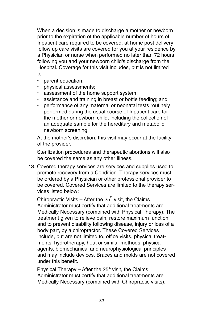When a decision is made to discharge a mother or newborn prior to the expiration of the applicable number of hours of Inpatient care required to be covered, at home post delivery follow up care visits are covered for you at your residence by a Physician or nurse when performed no later than 72 hours following you and your newborn child's discharge from the Hospital. Coverage for this visit includes, but is not limited to:

- parent education;
- physical assessments;
- assessment of the home support system;
- assistance and training in breast or bottle feeding; and
- performance of any maternal or neonatal tests routinely performed during the usual course of Inpatient care for the mother or newborn child, including the collection of an adequate sample for the hereditary and metabolic newborn screening.

At the mother's discretion, this visit may occur at the facility of the provider.

Sterilization procedures and therapeutic abortions will also be covered the same as any other Illness.

13. Covered therapy services are services and supplies used to promote recovery from a Condition. Therapy services must be ordered by a Physician or other professional provider to be covered. Covered Services are limited to the therapy services listed below:

Chiropractic Visits – After the  $25<sup>th</sup>$  visit, the Claims Administrator must certify that additional treatments are Medically Necessary (combined with Physical Therapy). The treatment given to relieve pain, restore maximum function and to prevent disability following disease, injury or loss of a body part, by a chiropractor. These Covered Services include, but are not limited to, office visits, physical treatments, hydrotherapy, heat or similar methods, physical agents, biomechanical and neurophysiological principles and may include devices. Braces and molds are not covered under this benefit.

Physical Therapy – After the  $25<sup>th</sup>$  visit, the Claims Administrator must certify that additional treatments are Medically Necessary (combined with Chiropractic visits).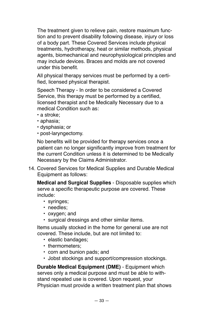The treatment given to relieve pain, restore maximum function and to prevent disability following disease, injury or loss of a body part. These Covered Services include physical treatments, hydrotherapy, heat or similar methods, physical agents, biomechanical and neurophysiological principles and may include devices. Braces and molds are not covered under this benefit.

All physical therapy services must be performed by a certified, licensed physical therapist.

Speech Therapy - In order to be considered a Covered Service, this therapy must be performed by a certified, licensed therapist and be Medically Necessary due to a medical Condition such as:

- a stroke;
- aphasia;
- dysphasia; or
- post-laryngectomy.

No benefits will be provided for therapy services once a patient can no longer significantly improve from treatment for the current Condition unless it is determined to be Medically Necessary by the Claims Administrator.

14. Covered Services for Medical Supplies and Durable Medical Equipment as follows:

**Medical and Surgical Supplies** - Disposable supplies which serve a specific therapeutic purpose are covered. These include:

- syringes;
- needles;
- oxygen; and
- surgical dressings and other similar items.

Items usually stocked in the home for general use are not covered. These include, but are not limited to:

- elastic bandages;
- thermometers;
- corn and bunion pads; and
- Jobst stockings and support/compression stockings.

**Durable Medical Equipment (DME)** - Equipment which serves only a medical purpose and must be able to withstand repeated use is covered. Upon request, your Physician must provide a written treatment plan that shows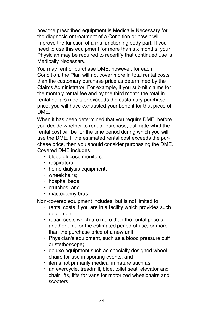how the prescribed equipment is Medically Necessary for the diagnosis or treatment of a Condition or how it will improve the function of a malfunctioning body part. If you need to use this equipment for more than six months, your Physician may be required to recertify that continued use is Medically Necessary.

You may rent or purchase DME; however, for each Condition, the Plan will not cover more in total rental costs than the customary purchase price as determined by the Claims Administrator. For example, if you submit claims for the monthly rental fee and by the third month the total in rental dollars meets or exceeds the customary purchase price, you will have exhausted your benefit for that piece of DME.

When it has been determined that you require DME, before you decide whether to rent or purchase, estimate what the rental cost will be for the time period during which you will use the DME. If the estimated rental cost exceeds the purchase price, then you should consider purchasing the DME. Covered DME includes:

- blood glucose monitors;
- respirators;
- home dialysis equipment;
- wheelchairs:
- hospital beds:
- crutches; and
- mastectomy bras.

Non-covered equipment includes, but is not limited to:

- rental costs if you are in a facility which provides such equipment;
- repair costs which are more than the rental price of another unit for the estimated period of use, or more than the purchase price of a new unit;
- Physician's equipment, such as a blood pressure cuff or stethoscope;
- deluxe equipment such as specially designed wheelchairs for use in sporting events; and
- items not primarily medical in nature such as:
- an exercycle, treadmill, bidet toilet seat, elevator and chair lifts, lifts for vans for motorized wheelchairs and scooters;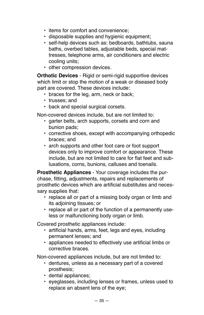- items for comfort and convenience;
- disposable supplies and hygienic equipment;
- self-help devices such as: bedboards, bathtubs, sauna baths, overbed tables, adjustable beds, special mattresses, telephone arms, air conditioners and electric cooling units;
- other compression devices.

**Orthotic Devices** - Rigid or semi-rigid supportive devices which limit or stop the motion of a weak or diseased body part are covered. These devices include:

- braces for the leg, arm, neck or back;
- trusses; and
- back and special surgical corsets.

Non-covered devices include, but are not limited to:

- garter belts, arch supports, corsets and corn and bunion pads;
- corrective shoes, except with accompanying orthopedic braces; and
- arch supports and other foot care or foot support devices only to improve comfort or appearance. These include, but are not limited to care for flat feet and subluxations, corns, bunions, calluses and toenails.

**Prosthetic Appliances** - Your coverage includes the purchase, fitting, adjustments, repairs and replacements of prosthetic devices which are artificial substitutes and necessary supplies that:

- replace all or part of a missing body organ or limb and its adjoining tissues; or
- replace all or part of the function of a permanently useless or malfunctioning body organ or limb.

Covered prosthetic appliances include:

- artificial hands, arms, feet, legs and eyes, including permanent lenses; and
- appliances needed to effectively use artificial limbs or corrective braces.

Non-covered appliances include, but are not limited to:

- dentures, unless as a necessary part of a covered prosthesis;
- dental appliances;
- eyeglasses, including lenses or frames, unless used to replace an absent lens of the eye;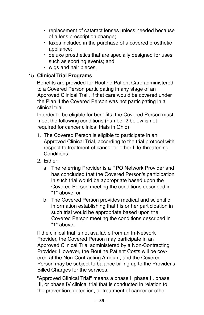- replacement of cataract lenses unless needed because of a lens prescription change;
- taxes included in the purchase of a covered prosthetic appliance;
- deluxe prosthetics that are specially designed for uses such as sporting events; and
- wigs and hair pieces.

#### 15. **Clinical Trial Programs**

Benefits are provided for Routine Patient Care administered to a Covered Person participating in any stage of an Approved Clinical Trail, if that care would be covered under the Plan if the Covered Person was not participating in a clinical trial.

In order to be eligible for benefits, the Covered Person must meet the following conditions (number 2 below is not required for cancer clinical trials in Ohio):

- 1. The Covered Person is eligible to participate in an Approved Clinical Trial, according to the trial protocol with respect to treatment of cancer or other Life-threatening **Conditions**
- 2. Either:
	- a. The referring Provider is a PPO Network Provider and has concluded that the Covered Person's participation in such trial would be appropriate based upon the Covered Person meeting the conditions described in "1" above; or
	- b. The Covered Person provides medical and scientific information establishing that his or her participation in such trial would be appropriate based upon the Covered Person meeting the conditions described in "1" above.

If the clinical trial is not available from an In-Network Provider, the Covered Person may participate in an Approved Clinical Trial administered by a Non-Contracting Provider. However, the Routine Patient Costs will be covered at the Non-Contracting Amount, and the Covered Person may be subject to balance billing up to the Provider's Billed Charges for the services.

"Approved Clinical Trial" means a phase I, phase II, phase III, or phase IV clinical trial that is conducted in relation to the prevention, detection, or treatment of cancer or other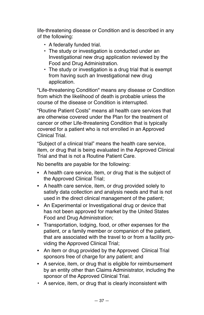life-threatening disease or Condition and is described in any of the following:

- A federally funded trial.
- The study or investigation is conducted under an Investigational new drug application reviewed by the Food and Drug Administration.
- The study or investigation is a drug trial that is exempt from having such an Investigational new drug application.

"Life-threatening Condition" means any disease or Condition from which the likelihood of death is probable unless the course of the disease or Condition is interrupted.

"Routine Patient Costs" means all health care services that are otherwise covered under the Plan for the treatment of cancer or other Life-threatening Condition that is typically covered for a patient who is not enrolled in an Approved Clinical Trial.

"Subject of a clinical trial" means the health care service, item, or drug that is being evaluated in the Approved Clinical Trial and that is not a Routine Patient Care.

No benefits are payable for the following:

- A health care service, item, or drug that is the subject of the Approved Clinical Trial;
- A health care service, item, or drug provided solely to satisfy data collection and analysis needs and that is not used in the direct clinical management of the patient;
- An Experimental or Investigational drug or device that has not been approved for market by the United States Food and Drug Administration;
- Transportation, lodging, food, or other expenses for the patient, or a family member or companion of the patient, that are associated with the travel to or from a facility providing the Approved Clinical Trial;
- An item or drug provided by the Approved Clinical Trial sponsors free of charge for any patient; and
- A service, item, or drug that is eligible for reimbursement by an entity other than Claims Administrator, including the sponsor of the Approved Clinical Trial.
- A service, item, or drug that is clearly inconsistent with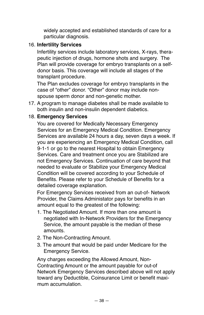widely accepted and established standards of care for a particular diagnosis.

#### 16. **Infertility Services**

Infertility services include laboratory services, X-rays, therapeutic injection of drugs, hormone shots and surgery. The Plan will provide coverage for embryo transplants on a selfdonor basis. This coverage will include all stages of the transplant procedure.

The Plan excludes coverage for embryo transplants in the case of "other" donor. "Other" donor may include nonspouse sperm donor and non-genetic mother.

17. A program to manage diabetes shall be made available to both insulin and non-insulin dependent diabetics.

#### 18. **Emergency Services**

You are covered for Medically Necessary Emergency Services for an Emergency Medical Condition. Emergency Services are available 24 hours a day, seven days a week. If you are experiencing an Emergency Medical Condition, call 9-1-1 or go to the nearest Hospital to obtain Emergency Services. Care and treatment once you are Stabilized are not Emergency Services. Continuation of care beyond that needed to evaluate or Stabilize your Emergency Medical Condition will be covered according to your Schedule of Benefits. Please refer to your Schedule of Benefits for a detailed coverage explanation.

For Emergency Services received from an out-of- Network Provider, the Claims Administator pays for benefits in an amount equal to the greatest of the following:

- 1. The Negotiated Amount. If more than one amount is negotiated with In-Network Providers for the Emergency Service, the amount payable is the median of these amounts.
- 2. The Non-Contracting Amount.
- 3. The amount that would be paid under Medicare for the Emergency Service.

Any charges exceeding the Allowed Amount, Non-Contracting Amount or the amount payable for out-of Network Emergency Services described above will not apply toward any Deductible, Coinsurance Limit or benefit maximum accumulation.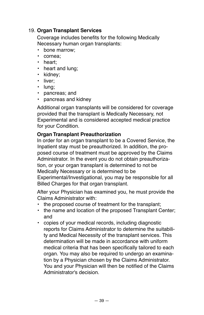#### 19. **Organ Transplant Services**

Coverage includes benefits for the following Medically Necessary human organ transplants:

- bone marrow;
- cornea;
- heart;
- heart and lung;
- kidney;
- liver;
- lung;
- pancreas; and
- pancreas and kidney

Additional organ transplants will be considered for coverage provided that the transplant is Medically Necessary, not Experimental and is considered accepted medical practice for your Condition.

#### **Organ Transplant Preauthorization**

In order for an organ transplant to be a Covered Service, the Inpatient stay must be preauthorized. In addition, the proposed course of treatment must be approved by the Claims Administrator. In the event you do not obtain preauthorization, or your organ transplant is determined to not be Medically Necessary or is determined to be Experimental/Investigational, you may be responsible for all Billed Charges for that organ transplant.

After your Physician has examined you, he must provide the Claims Administrator with:

- the proposed course of treatment for the transplant;
- the name and location of the proposed Transplant Center; and
- copies of your medical records, including diagnostic reports for Claims Administrator to determine the suitability and Medical Necessity of the transplant services. This determination will be made in accordance with uniform medical criteria that has been specifically tailored to each organ. You may also be required to undergo an examination by a Physician chosen by the Claims Administrator. You and your Physician will then be notified of the Claims Administrator's decision.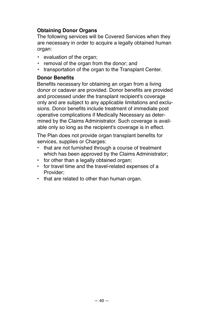#### **Obtaining Donor Organs**

The following services will be Covered Services when they are necessary in order to acquire a legally obtained human organ:

- evaluation of the organ;
- removal of the organ from the donor; and
- transportation of the organ to the Transplant Center.

#### **Donor Benefits**

Benefits necessary for obtaining an organ from a living donor or cadaver are provided. Donor benefits are provided and processed under the transplant recipient's coverage only and are subject to any applicable limitations and exclusions. Donor benefits include treatment of immediate post operative complications if Medically Necessary as determined by the Claims Administrator. Such coverage is available only so long as the recipient's coverage is in effect.

The Plan does not provide organ transplant benefits for services, supplies or Charges:

- that are not furnished through a course of treatment which has been approved by the Claims Administrator;
- for other than a legally obtained organ;
- for travel time and the travel-related expenses of a Provider;
- that are related to other than human organ.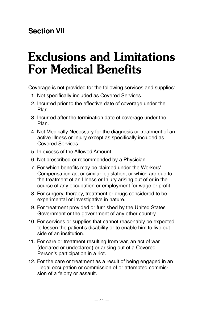## **Section VII**

## **Exclusions and Limitations For Medical Benefits**

Coverage is not provided for the following services and supplies:

- 1. Not specifically included as Covered Services.
- 2. Incurred prior to the effective date of coverage under the Plan.
- 3. Incurred after the termination date of coverage under the Plan.
- 4. Not Medically Necessary for the diagnosis or treatment of an active Illness or Injury except as specifically included as Covered Services.
- 5. In excess of the Allowed Amount.
- 6. Not prescribed or recommended by a Physician.
- 7. For which benefits may be claimed under the Workers' Compensation act or similar legislation, or which are due to the treatment of an Illness or Injury arising out of or in the course of any occupation or employment for wage or profit.
- 8. For surgery, therapy, treatment or drugs considered to be experimental or investigative in nature.
- 9. For treatment provided or furnished by the United States Government or the government of any other country.
- 10. For services or supplies that cannot reasonably be expected to lessen the patient's disability or to enable him to live outside of an institution.
- 11. For care or treatment resulting from war, an act of war (declared or undeclared) or arising out of a Covered Person's participation in a riot.
- 12. For the care or treatment as a result of being engaged in an illegal occupation or commission of or attempted commission of a felony or assault.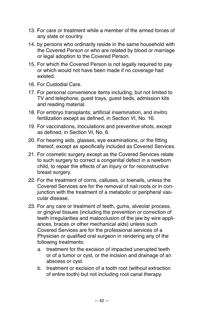- 13. For care or treatment while a member of the armed forces of any state or country.
- 14. by persons who ordinarily reside in the same household with the Covered Person or who are related by blood or marriage or legal adoption to the Covered Person.
- 15. For which the Covered Person is not legally required to pay or which would not have been made if no coverage had existed.
- 16. For Custodial Care.
- 17. For personal convenience items including, but not limited to TV and telephone, guest trays, guest beds, admission kits and reading material.
- 18. For embryo transplants; artificial insemination, and invitro fertilization except as defined, in Section VI, No. 16.
- 19. For vaccinations, inoculations and preventive shots, except as defined, in Section VI, No. 6.
- 20. For hearing aids, glasses, eye examinations, or the fitting thereof, except as specifically included as Covered Services.
- 21. For cosmetic surgery except as the Covered Services relate to such surgery to correct a congenital defect in a newborn child, to repair the effects of an Injury or for reconstructive breast surgery.
- 22. For the treatment of corns, calluses, or toenails, unless the Covered Services are for the removal of nail roots or in conjunction with the treatment of a metabolic or peripheral vascular disease.
- 23. For any care or treatment of teeth, gums, alveolar process, or gingival tissues (including the prevention or correction of teeth irregularities and malocclusion of the jaw by wire appliances, braces or other mechanical aids) unless such Covered Services are for the professional services of a Physician or qualified oral surgeon in rendering any of the following treatments:
	- a. treatment for the excision of impacted unerupted teeth or of a tumor or cyst, or the incision and drainage of an abscess or cyst.
	- b. treatment or excision of a tooth root (without extraction of entire tooth) but not including root canal therapy.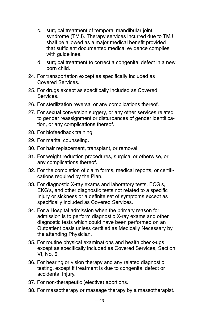- c. surgical treatment of temporal mandibular joint syndrome (TMJ). Therapy services incurred due to TMJ shall be allowed as a major medical benefit provided that sufficient documented medical evidence complies with guidelines.
- d. surgical treatment to correct a congenital defect in a new born child.
- 24. For transportation except as specifically included as Covered Services.
- 25. For drugs except as specifically included as Covered Services.
- 26. For sterilization reversal or any complications thereof.
- 27. For sexual conversion surgery, or any other services related to gender reassignment or disturbances of gender identification, or any complications thereof.
- 28. For biofeedback training.
- 29. For marital counseling.
- 30. For hair replacement, transplant, or removal.
- 31. For weight reduction procedures, surgical or otherwise, or any complications thereof.
- 32. For the completion of claim forms, medical reports, or certifications required by the Plan.
- 33. For diagnostic X-ray exams and laboratory tests, ECG's, EKG's, and other diagnostic tests not related to a specific Injury or sickness or a definite set of symptoms except as specifically included as Covered Services.
- 34. For a Hospital admission when the primary reason for admission is to perform diagnostic X-ray exams and other diagnostic tests which could have been performed on an Outpatient basis unless certified as Medically Necessary by the attending Physician.
- 35. For routine physical examinations and health check-ups except as specifically included as Covered Services, Section VI, No. 6.
- 36. For hearing or vision therapy and any related diagnostic testing, except if treatment is due to congenital defect or accidental Injury.
- 37. For non-therapeutic (elective) abortions.
- 38. For massotherapy or massage therapy by a massotherapist.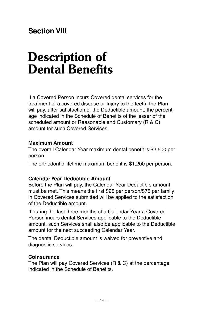## **Section VIII**

# **Description of Dental Benefits**

If a Covered Person incurs Covered dental services for the treatment of a covered disease or Injury to the teeth, the Plan will pay, after satisfaction of the Deductible amount, the percentage indicated in the Schedule of Benefits of the lesser of the scheduled amount or Reasonable and Customary (R & C) amount for such Covered Services.

#### **Maximum Amount**

The overall Calendar Year maximum dental benefit is \$2,500 per person.

The orthodontic lifetime maximum benefit is \$1,200 per person.

#### **Calendar Year Deductible Amount**

Before the Plan will pay, the Calendar Year Deductible amount must be met. This means the first \$25 per person/\$75 per family in Covered Services submitted will be applied to the satisfaction of the Deductible amount.

If during the last three months of a Calendar Year a Covered Person incurs dental Services applicable to the Deductible amount, such Services shall also be applicable to the Deductible amount for the next succeeding Calendar Year.

The dental Deductible amount is waived for preventive and diagnostic services.

#### **Coinsurance**

The Plan will pay Covered Services (R & C) at the percentage indicated in the Schedule of Benefits.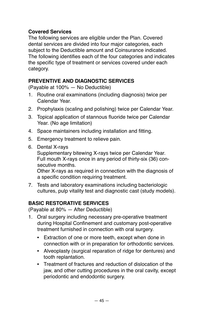#### **Covered Services**

The following services are eligible under the Plan. Covered dental services are divided into four major categories, each subject to the Deductible amount and Coinsurance indicated. The following identifies each of the four categories and indicates the specific type of treatment or services covered under each category.

#### **PREVENTIVE AND DIAGNOSTIC SERVICES**

(Payable at 100% — No Deductible)

- 1. Routine oral examinations (including diagnosis) twice per Calendar Year.
- 2. Prophylaxis (scaling and polishing) twice per Calendar Year.
- 3. Topical application of stannous fluoride twice per Calendar Year. (No age limitation)
- 4. Space maintainers including installation and fitting.
- 5. Emergency treatment to relieve pain.
- 6. Dental X-rays

Supplementary bitewing X-rays twice per Calendar Year. Full mouth X-rays once in any period of thirty-six (36) consecutive months.

Other X-rays as required in connection with the diagnosis of a specific condition requiring treatment.

7. Tests and laboratory examinations including bacteriologic cultures, pulp vitality test and diagnostic cast (study models).

#### **BASIC RESTORATIVE SERVICES**

(Payable at 80% — After Deductible)

- 1. Oral surgery including necessary pre-operative treatment during Hospital Confinement and customary post-operative treatment furnished in connection with oral surgery.
	- **Extraction of one or more teeth, except when done in** connection with or in preparation for orthodontic services.
	- Alveoplasty (surgical reparation of ridge for dentures) and tooth replantation.
	- Treatment of fractures and reduction of dislocation of the jaw, and other cutting procedures in the oral cavity, except periodontic and endodontic surgery.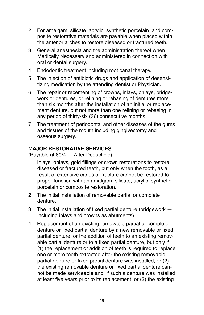- 2. For amalgam, silicate, acrylic, synthetic porcelain, and composite restorative materials are payable when placed within the anterior arches to restore diseased or fractured teeth.
- 3. General anesthesia and the administration thereof when Medically Necessary and administered in connection with oral or dental surgery.
- 4. Endodontic treatment including root canal therapy.
- 5. The injection of antibiotic drugs and application of desensitizing medication by the attending dentist or Physician.
- 6. The repair or recementing of crowns, inlays, onlays, bridgework or dentures, or relining or rebasing of dentures more than six months after the installation of an initial or replacement denture, but not more than one relining or rebasing in any period of thirty-six (36) consecutive months.
- 7. The treatment of periodontal and other diseases of the gums and tissues of the mouth including gingivectomy and osseous surgery.

#### **MAJOR RESTORATIVE SERVICES**

(Payable at 80% — After Deductible)

- 1. Inlays, onlays, gold fillings or crown restorations to restore diseased or fractured teeth, but only when the tooth, as a result of extensive caries or fracture cannot be restored to proper function with an amalgam, silicate, acrylic, synthetic porcelain or composite restoration.
- 2. The initial installation of removable partial or complete denture.
- 3. The initial installation of fixed partial denture (bridgework including inlays and crowns as abutments).
- 4. Replacement of an existing removable partial or complete denture or fixed partial denture by a new removable or fixed partial denture, or the addition of teeth to an existing removable partial denture or to a fixed partial denture, but only if (1) the replacement or addition of teeth is required to replace one or more teeth extracted after the existing removable partial denture or fixed partial denture was installed, or (2) the existing removable denture or fixed partial denture cannot be made serviceable and, if such a denture was installed at least five years prior to its replacement, or (3) the existing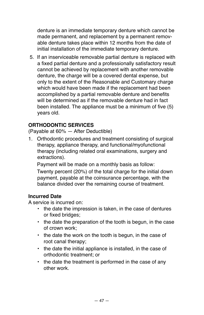denture is an immediate temporary denture which cannot be made permanent, and replacement by a permanent removable denture takes place within 12 months from the date of initial installation of the immediate temporary denture.

5. If an inserviceable removable partial denture is replaced with a fixed partial denture and a professionally satisfactory result cannot be achieved by replacement with another removable denture, the charge will be a covered dental expense, but only to the extent of the Reasonable and Customary charge which would have been made if the replacement had been accomplished by a partial removable denture and benefits will be determined as if the removable denture had in fact been installed. The appliance must be a minimum of five (5) years old.

#### **ORTHODONTIC SERVICES**

(Payable at 60% — After Deductible)

1. Orthodontic procedures and treatment consisting of surgical therapy, appliance therapy, and functional/myofunctional therapy (including related oral examinations, surgery and extractions).

Payment will be made on a monthly basis as follow: Twenty percent (20%) of the total charge for the initial down payment, payable at the coinsurance percentage, with the balance divided over the remaining course of treatment.

#### **Incurred Date**

A service is incurred on:

- the date the impression is taken, in the case of dentures or fixed bridges;
- the date the preparation of the tooth is begun, in the case of crown work;
- the date the work on the tooth is begun, in the case of root canal therapy;
- the date the initial appliance is installed, in the case of orthodontic treatment; or
- the date the treatment is performed in the case of any other work.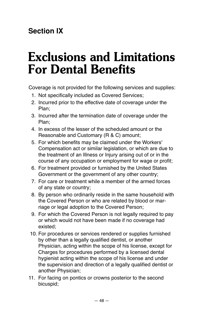## **Section IX**

# **Exclusions and Limitations For Dental Benefits**

Coverage is not provided for the following services and supplies:

- 1. Not specifically included as Covered Services;
- 2. Incurred prior to the effective date of coverage under the Plan;
- 3. Incurred after the termination date of coverage under the Plan;
- 4. In excess of the lesser of the scheduled amount or the Reasonable and Customary (R & C) amount;
- 5. For which benefits may be claimed under the Workers' Compensation act or similar legislation, or which are due to the treatment of an Illness or Injury arising out of or in the course of any occupation or employment for wage or profit;
- 6. For treatment provided or furnished by the United States Government or the government of any other country;
- 7. For care or treatment while a member of the armed forces of any state or country;
- 8. By person who ordinarily reside in the same household with the Covered Person or who are related by blood or marriage or legal adoption to the Covered Person;
- 9. For which the Covered Person is not legally required to pay or which would not have been made if no coverage had existed;
- 10. For procedures or services rendered or supplies furnished by other than a legally qualified dentist, or another Physician, acting within the scope of his license, except for Charges for procedures performed by a licensed dental hygienist acting within the scope of his license and under the supervision and direction of a legally qualified dentist or another Physician;
- 11. For facing on pontics or crowns posterior to the second bicuspid;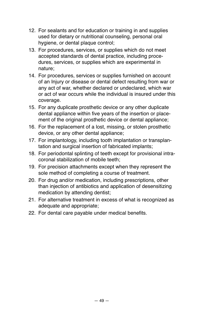- 12. For sealants and for education or training in and supplies used for dietary or nutritional counseling, personal oral hygiene, or dental plaque control;
- 13. For procedures, services, or supplies which do not meet accepted standards of dental practice, including procedures, services, or supplies which are experimental in nature;
- 14. For procedures, services or supplies furnished on account of an Injury or disease or dental defect resulting from war or any act of war, whether declared or undeclared, which war or act of war occurs while the individual is insured under this coverage.
- 15. For any duplicate prosthetic device or any other duplicate dental appliance within five years of the insertion or placement of the original prosthetic device or dental appliance;
- 16. For the replacement of a lost, missing, or stolen prosthetic device, or any other dental appliance;
- 17. For implantology, including tooth implantation or transplantation and surgical insertion of fabricated implants;
- 18. For periodontal splinting of teeth except for provisional intracoronal stabilization of mobile teeth;
- 19. For precision attachments except when they represent the sole method of completing a course of treatment.
- 20. For drug and/or medication, including prescriptions, other than injection of antibiotics and application of desensitizing medication by attending dentist;
- 21. For alternative treatment in excess of what is recognized as adequate and appropriate;
- 22. For dental care payable under medical benefits.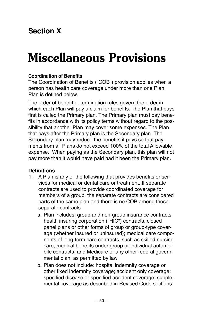## **Section X**

# **Miscellaneous Provisions**

#### **Coordination of Benefits**

The Coordination of Benefits ("COB") provision applies when a person has health care coverage under more than one Plan. Plan is defined below.

The order of benefit determination rules govern the order in which each Plan will pay a claim for benefits. The Plan that pays first is called the Primary plan. The Primary plan must pay benefits in accordance with its policy terms without regard to the possibility that another Plan may cover some expenses. The Plan that pays after the Primary plan is the Secondary plan. The Secondary plan may reduce the benefits it pays so that payments from all Plans do not exceed 100% of the total Allowable expense. When paying as the Secondary plan, this plan will not pay more than it would have paid had it been the Primary plan.

#### **Definitions**

- 1. A Plan is any of the following that provides benefits or services for medical or dental care or treatment. If separate contracts are used to provide coordinated coverage for members of a group, the separate contracts are considered parts of the same plan and there is no COB among those separate contracts.
	- a. Plan includes: group and non-group insurance contracts, health insuring corporation ("HIC") contracts, closed panel plans or other forms of group or group-type coverage (whether insured or uninsured); medical care components of long-term care contracts, such as skilled nursing care; medical benefits under group or individual automobile contracts; and Medicare or any other federal governmental plan, as permitted by law.
	- b. Plan does not include: hospital indemnity coverage or other fixed indemnity coverage; accident only coverage; specified disease or specified accident coverage; supplemental coverage as described in Revised Code sections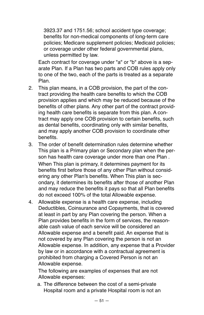3923.37 and 1751.56; school accident type coverage; benefits for non-medical components of long-term care policies; Medicare supplement policies; Medicaid policies; or coverage under other federal governmental plans, unless permitted by law.

Each contract for coverage under "a" or "b" above is a separate Plan. If a Plan has two parts and COB rules apply only to one of the two, each of the parts is treated as a separate Plan.

- 2. This plan means, in a COB provision, the part of the contract providing the health care benefits to which the COB provision applies and which may be reduced because of the benefits of other plans. Any other part of the contract providing health care benefits is separate from this plan. A contract may apply one COB provision to certain benefits, such as dental benefits, coordinating only with similar benefits, and may apply another COB provision to coordinate other benefits.
- 3. The order of benefit determination rules determine whether This plan is a Primary plan or Secondary plan when the person has health care coverage under more than one Plan . When This plan is primary, it determines payment for its benefits first before those of any other Plan without considering any other Plan's benefits. When This plan is secondary, it determines its benefits after those of another Plan and may reduce the benefits it pays so that all Plan benefits do not exceed 100% of the total Allowable expense.
- 4. Allowable expense is a health care expense, including Deductibles, Coinsurance and Copayments, that is covered at least in part by any Plan covering the person. When a Plan provides benefits in the form of services, the reasonable cash value of each service will be considered an Allowable expense and a benefit paid. An expense that is not covered by any Plan covering the person is not an Allowable expense. In addition, any expense that a Provider by law or in accordance with a contractual agreement is prohibited from charging a Covered Person is not an Allowable expense.

The following are examples of expenses that are not Allowable expenses:

a. The difference between the cost of a semi-private Hospital room and a private Hospital room is not an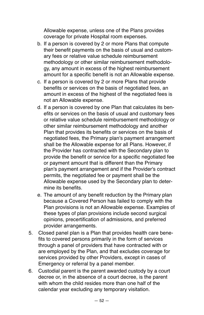Allowable expense, unless one of the Plans provides coverage for private Hospital room expenses.

- b. If a person is covered by 2 or more Plans that compute their benefit payments on the basis of usual and customary fees or relative value schedule reimbursement methodology or other similar reimbursement methodology, any amount in excess of the highest reimbursement amount for a specific benefit is not an Allowable expense.
- c. If a person is covered by 2 or more Plans that provide benefits or services on the basis of negotiated fees, an amount in excess of the highest of the negotiated fees is not an Allowable expense.
- d. If a person is covered by one Plan that calculates its benefits or services on the basis of usual and customary fees or relative value schedule reimbursement methodology or other similar reimbursement methodology and another Plan that provides its benefits or services on the basis of negotiated fees, the Primary plan's payment arrangement shall be the Allowable expense for all Plans. However, if the Provider has contracted with the Secondary plan to provide the benefit or service for a specific negotiated fee or payment amount that is different than the Primary plan's payment arrangement and if the Provider's contract permits, the negotiated fee or payment shall be the Allowable expense used by the Secondary plan to determine its benefits.
- e. The amount of any benefit reduction by the Primary plan because a Covered Person has failed to comply with the Plan provisions is not an Allowable expense. Examples of these types of plan provisions include second surgical opinions, precertification of admissions, and preferred provider arrangements.
- 5. Closed panel plan is a Plan that provides health care benefits to covered persons primarily in the form of services through a panel of providers that have contracted with or are employed by the Plan, and that excludes coverage for services provided by other Providers, except in cases of Emergency or referral by a panel member.
- 6. Custodial parent is the parent awarded custody by a court decree or, in the absence of a court decree, is the parent with whom the child resides more than one half of the calendar year excluding any temporary visitation.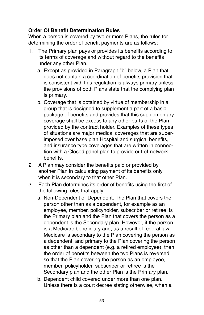#### **Order Of Benefit Determination Rules**

When a person is covered by two or more Plans, the rules for determining the order of benefit payments are as follows:

- 1. The Primary plan pays or provides its benefits according to its terms of coverage and without regard to the benefits under any other Plan.
	- a. Except as provided in Paragraph "b" below, a Plan that does not contain a coordination of benefits provision that is consistent with this regulation is always primary unless the provisions of both Plans state that the complying plan is primary.
	- b. Coverage that is obtained by virtue of membership in a group that is designed to supplement a part of a basic package of benefits and provides that this supplementary coverage shall be excess to any other parts of the Plan provided by the contract holder. Examples of these types of situations are major medical coverages that are superimposed over base plan Hospital and surgical benefits, and insurance type coverages that are written in connection with a Closed panel plan to provide out-of-network benefits.
- 2. A Plan may consider the benefits paid or provided by another Plan in calculating payment of its benefits only when it is secondary to that other Plan.
- 3. Each Plan determines its order of benefits using the first of the following rules that apply:
	- a. Non-Dependent or Dependent. The Plan that covers the person other than as a dependent, for example as an employee, member, policyholder, subscriber or retiree, is the Primary plan and the Plan that covers the person as a dependent is the Secondary plan. However, if the person is a Medicare beneficiary and, as a result of federal law, Medicare is secondary to the Plan covering the person as a dependent, and primary to the Plan covering the person as other than a dependent (e.g. a retired employee), then the order of benefits between the two Plans is reversed so that the Plan covering the person as an employee, member, policyholder, subscriber or retiree is the Secondary plan and the other Plan is the Primary plan.
	- b. Dependent child covered under more than one plan. Unless there is a court decree stating otherwise, when a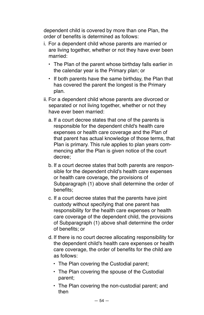dependent child is covered by more than one Plan, the order of benefits is determined as follows:

- i. For a dependent child whose parents are married or are living together, whether or not they have ever been married:
	- The Plan of the parent whose birthday falls earlier in the calendar year is the Primary plan; or
	- If both parents have the same birthday, the Plan that has covered the parent the longest is the Primary plan.
- ii. For a dependent child whose parents are divorced or separated or not living together, whether or not they have ever been married:
	- a. If a court decree states that one of the parents is responsible for the dependent child's health care expenses or health care coverage and the Plan of that parent has actual knowledge of those terms, that Plan is primary. This rule applies to plan years commencing after the Plan is given notice of the court decree;
	- b. If a court decree states that both parents are responsible for the dependent child's health care expenses or health care coverage, the provisions of Subparagraph (1) above shall determine the order of benefits;
	- c. If a court decree states that the parents have joint custody without specifying that one parent has responsibility for the health care expenses or health care coverage of the dependent child, the provisions of Subparagraph (1) above shall determine the order of benefits; or
	- d. If there is no court decree allocating responsibility for the dependent child's health care expenses or health care coverage, the order of benefits for the child are as follows:
		- The Plan covering the Custodial parent;
		- The Plan covering the spouse of the Custodial parent;
		- The Plan covering the non-custodial parent; and then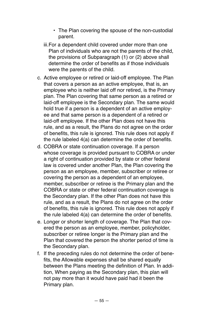- The Plan covering the spouse of the non-custodial parent.
- iii.For a dependent child covered under more than one Plan of individuals who are not the parents of the child, the provisions of Subparagraph (1) or (2) above shall determine the order of benefits as if those individuals were the parents of the child.
- c. Active employee or retired or laid-off employee. The Plan that covers a person as an active employee, that is, an employee who is neither laid off nor retired, is the Primary plan. The Plan covering that same person as a retired or laid-off employee is the Secondary plan. The same would hold true if a person is a dependent of an active employee and that same person is a dependent of a retired or laid-off employee. If the other Plan does not have this rule, and as a result, the Plans do not agree on the order of benefits, this rule is ignored. This rule does not apply if the rule labeled 4(a) can determine the order of benefits.
- d. COBRA or state continuation coverage. If a person whose coverage is provided pursuant to COBRA or under a right of continuation provided by state or other federal law is covered under another Plan, the Plan covering the person as an employee, member, subscriber or retiree or covering the person as a dependent of an employee, member, subscriber or retiree is the Primary plan and the COBRA or state or other federal continuation coverage is the Secondary plan. If the other Plan does not have this rule, and as a result, the Plans do not agree on the order of benefits, this rule is ignored. This rule does not apply if the rule labeled 4(a) can determine the order of benefits.
- e. Longer or shorter length of coverage. The Plan that covered the person as an employee, member, policyholder, subscriber or retiree longer is the Primary plan and the Plan that covered the person the shorter period of time is the Secondary plan.
- f. If the preceding rules do not determine the order of benefits, the Allowable expenses shall be shared equally between the Plans meeting the definition of Plan. In addition, When paying as the Secondary plan, this plan will not pay more than it would have paid had it been the Primary plan.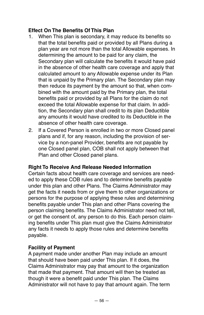#### **Effect On The Benefits Of This Plan**

- 1. When This plan is secondary, it may reduce its benefits so that the total benefits paid or provided by all Plans during a plan year are not more than the total Allowable expenses. In determining the amount to be paid for any claim, the Secondary plan will calculate the benefits it would have paid in the absence of other health care coverage and apply that calculated amount to any Allowable expense under its Plan that is unpaid by the Primary plan. The Secondary plan may then reduce its payment by the amount so that, when combined with the amount paid by the Primary plan, the total benefits paid or provided by all Plans for the claim do not exceed the total Allowable expense for that claim. In addition, the Secondary plan shall credit to its plan Deductible any amounts it would have credited to its Deductible in the absence of other health care coverage.
- 2. If a Covered Person is enrolled in two or more Closed panel plans and if, for any reason, including the provision of service by a non-panel Provider, benefits are not payable by one Closed panel plan, COB shall not apply between that Plan and other Closed panel plans.

#### **Right To Receive And Release Needed Information**

Certain facts about health care coverage and services are needed to apply these COB rules and to determine benefits payable under this plan and other Plans. The Claims Administrator may get the facts it needs from or give them to other organizations or persons for the purpose of applying these rules and determining benefits payable under This plan and other Plans covering the person claiming benefits. The Claims Administrator need not tell, or get the consent of, any person to do this. Each person claiming benefits under This plan must give the Claims Administrator any facts it needs to apply those rules and determine benefits payable.

#### **Facility of Payment**

A payment made under another Plan may include an amount that should have been paid under This plan. If it does, the Claims Administrator may pay that amount to the organization that made that payment. That amount will then be treated as though it were a benefit paid under This plan. The Claims Administrator will not have to pay that amount again. The term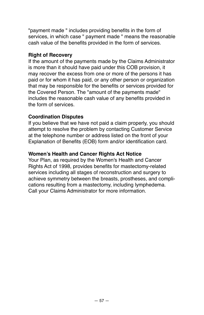"payment made " includes providing benefits in the form of services, in which case " payment made " means the reasonable cash value of the benefits provided in the form of services.

#### **Right of Recovery**

If the amount of the payments made by the Claims Administrator is more than it should have paid under this COB provision, it may recover the excess from one or more of the persons it has paid or for whom it has paid, or any other person or organization that may be responsible for the benefits or services provided for the Covered Person. The "amount of the payments made" includes the reasonable cash value of any benefits provided in the form of services.

#### **Coordination Disputes**

If you believe that we have not paid a claim properly, you should attempt to resolve the problem by contacting Customer Service at the telephone number or address listed on the front of your Explanation of Benefits (EOB) form and/or identification card.

#### **Women's Health and Cancer Rights Act Notice**

Your Plan, as required by the Women's Health and Cancer Rights Act of 1998, provides benefits for mastectomy-related services including all stages of reconstruction and surgery to achieve symmetry between the breasts, prostheses, and complications resulting from a mastectomy, including lymphedema. Call your Claims Administrator for more information.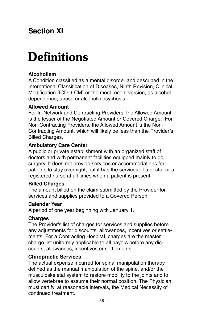## **Section XI**

# **Definitions**

#### **Alcoholism**

A Condition classified as a mental disorder and described in the International Classification of Diseases, Ninth Revision, Clinical Modification (ICD-9-CM) or the most recent version, as alcohol dependence, abuse or alcoholic psychosis.

#### **Allowed Amount**

For In-Network and Contracting Providers, the Allowed Amount is the lesser of the Negotiated Amount or Covered Charge. For Non-Contracting Providers, the Allowed Amount is the Non-Contracting Amount, which will likely be less than the Provider's Billed Charges.

#### **Ambulatory Care Center**

A public or private establishment with an organized staff of doctors and with permanent facilities equipped mainly to do surgery. It does not provide services or accommodations for patients to stay overnight, but it has the services of a doctor or a registered nurse at all times when a patient is present.

#### **Billed Charges**

The amount billed on the claim submitted by the Provider for services and supplies provided to a Covered Person.

#### **Calendar Year**

A period of one year beginning with January 1.

#### **Charges**

The Provider's list of charges for services and supplies before any adjustments for discounts, allowances, incentives or settlements. For a Contracting Hospital, charges are the master charge list uniformly applicable to all payors before any discounts, allowances, incentives or settlements.

#### **Chiropractic Services**

The actual expense incurred for spinal manipulation therapy, defined as the manual manipulation of the spine, and/or the musculoskeletal system to restore mobility to the joints and to allow vertebrae to assume their normal position. The Physician must certify, at reasonable intervals, the Medical Necessity of continued treatment.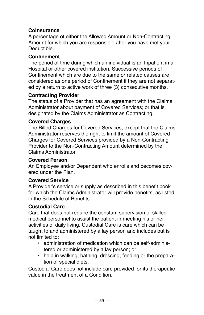#### **Coinsurance**

A percentage of either the Allowed Amount or Non-Contracting Amount for which you are responsible after you have met your Deductible.

#### **Confinement**

The period of time during which an individual is an Inpatient in a Hospital or other covered institution. Successive periods of Confinement which are due to the same or related causes are considered as one period of Confinement if they are not separated by a return to active work of three (3) consecutive months.

#### **Contracting Provider**

The status of a Provider that has an agreement with the Claims Administrator about payment of Covered Services; or that is designated by the Claims Administrator as Contracting.

#### **Covered Charges**

The Billed Charges for Covered Services, except that the Claims Administrator reserves the right to limit the amount of Covered Charges for Covered Services provided by a Non-Contracting Provider to the Non-Contracting Amount determined by the Claims Administrator.

#### **Covered Person**

An Employee and/or Dependent who enrolls and becomes covered under the Plan.

#### **Covered Service**

A Provider's service or supply as described in this benefit book for which the Claims Administrator will provide benefits, as listed in the Schedule of Benefits.

#### **Custodial Care**

Care that does not require the constant supervision of skilled medical personnel to assist the patient in meeting his or her activities of daily living. Custodial Care is care which can be taught to and administered by a lay person and includes but is not limited to:

- administration of medication which can be self-administered or administered by a lay person; or
- help in walking, bathing, dressing, feeding or the preparation of special diets.

Custodial Care does not include care provided for its therapeutic value in the treatment of a Condition.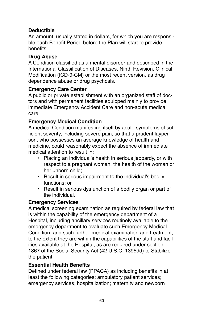#### **Deductible**

An amount, usually stated in dollars, for which you are responsible each Benefit Period before the Plan will start to provide benefits.

#### **Drug Abuse**

A Condition classified as a mental disorder and described in the International Classification of Diseases, Ninth Revision, Clinical Modification (ICD-9-CM) or the most recent version, as drug dependence abuse or drug psychosis.

#### **Emergency Care Center**

A public or private establishment with an organized staff of doctors and with permanent facilities equipped mainly to provide immediate Emergency Accident Care and non-acute medical care.

#### **Emergency Medical Condition**

A medical Condition manifesting itself by acute symptoms of sufficient severity, including severe pain, so that a prudent layperson, who possesses an average knowledge of health and medicine, could reasonably expect the absence of immediate medical attention to result in:

- Placing an individual's health in serious jeopardy, or with respect to a pregnant woman, the health of the woman or her unborn child;
- Result in serious impairment to the individual's bodily functions; or
- Result in serious dysfunction of a bodily organ or part of the individual.

#### **Emergency Services**

A medical screening examination as required by federal law that is within the capability of the emergency department of a Hospital, including ancillary services routinely available to the emergency department to evaluate such Emergency Medical Condition; and such further medical examination and treatment, to the extent they are within the capabilities of the staff and facilities available at the Hospital, as are required under section 1867 of the Social Security Act (42 U.S.C. 1395dd) to Stabilize the patient.

#### **Essential Health Benefits**

Defined under federal law (PPACA) as including benefits in at least the following categories: ambulatory patient services; emergency services; hospitalization; maternity and newborn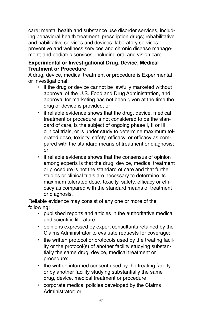care; mental health and substance use disorder services, including behavioral health treatment; prescription drugs; rehabilitative and habilitative services and devices; laboratory services; preventive and wellness services and chronic disease management; and pediatric services, including oral and vision care.

#### **Experimental or Investigational Drug, Device, Medical Treatment or Procedure**

A drug, device, medical treatment or procedure is Experimental or Investigational:

- if the drug or device cannot be lawfully marketed without approval of the U.S. Food and Drug Administration, and approval for marketing has not been given at the time the drug or device is provided; or
- if reliable evidence shows that the drug, device, medical treatment or procedure is not considered to be the standard of care, is the subject of ongoing phase I, II or III clinical trials, or is under study to determine maximum tolerated dose, toxicity, safety, efficacy, or efficacy as compared with the standard means of treatment or diagnosis; or
- if reliable evidence shows that the consensus of opinion among experts is that the drug, device, medical treatment or procedure is not the standard of care and that further studies or clinical trials are necessary to determine its maximum tolerated dose, toxicity, safety, efficacy or efficacy as compared with the standard means of treatment or diagnosis.

Reliable evidence may consist of any one or more of the following:

- published reports and articles in the authoritative medical and scientific literature;
- opinions expressed by expert consultants retained by the Claims Administrator to evaluate requests for coverage;
- the written protocol or protocols used by the treating facility or the protocol(s) of another facility studying substantially the same drug, device, medical treatment or procedure;
- the written informed consent used by the treating facility or by another facility studying substantially the same drug, device, medical treatment or procedure;
- corporate medical policies developed by the Claims Administrator; or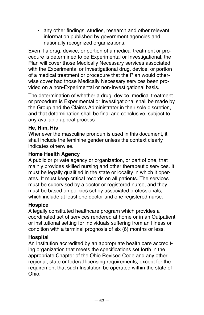• any other findings, studies, research and other relevant information published by government agencies and nationally recognized organizations.

Even if a drug, device, or portion of a medical treatment or procedure is determined to be Experimental or Investigational, the Plan will cover those Medically Necessary services associated with the Experimental or Investigational drug, device, or portion of a medical treatment or procedure that the Plan would otherwise cover had those Medically Necessary services been provided on a non-Experimental or non-Investigational basis.

The determination of whether a drug, device, medical treatment or procedure is Experimental or Investigational shall be made by the Group and the Claims Administrator in their sole discretion, and that determination shall be final and conclusive, subject to any available appeal process.

#### **He, Him, His**

Whenever the masculine pronoun is used in this document, it shall include the feminine gender unless the context clearly indicates otherwise.

#### **Home Health Agency**

A public or private agency or organization, or part of one, that mainly provides skilled nursing and other therapeutic services. It must be legally qualified in the state or locality in which it operates. It must keep critical records on all patients. The services must be supervised by a doctor or registered nurse, and they must be based on policies set by associated professionals, which include at least one doctor and one registered nurse.

#### **Hospice**

A legally constituted healthcare program which provides a coordinated set of services rendered at home or in an Outpatient or institutional setting for individuals suffering from an Illness or condition with a terminal prognosis of six (6) months or less.

#### **Hospital**

An Institution accredited by an appropriate health care accrediting organization that meets the specifications set forth in the appropriate Chapter of the Ohio Revised Code and any other regional, state or federal licensing requirements, except for the requirement that such Institution be operated within the state of Ohio.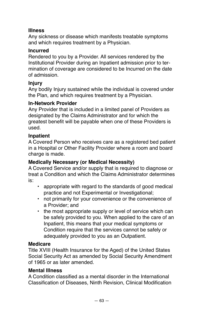#### **Illness**

Any sickness or disease which manifests treatable symptoms and which requires treatment by a Physician.

#### **Incurred**

Rendered to you by a Provider. All services rendered by the Institutional Provider during an Inpatient admission prior to termination of coverage are considered to be Incurred on the date of admission.

#### **Injury**

Any bodily Injury sustained while the individual is covered under the Plan, and which requires treatment by a Physician.

#### **In-Network Provider**

Any Provider that is included in a limited panel of Providers as designated by the Claims Administrator and for which the greatest benefit will be payable when one of these Providers is used.

#### **Inpatient**

A Covered Person who receives care as a registered bed patient in a Hospital or Other Facility Provider where a room and board charge is made.

#### **Medically Necessary (or Medical Necessity)**

A Covered Service and/or supply that is required to diagnose or treat a Condition and which the Claims Administrator determines is:

- appropriate with regard to the standards of good medical practice and not Experimental or Investigational;
- not primarily for your convenience or the convenience of a Provider; and
- the most appropriate supply or level of service which can be safely provided to you. When applied to the care of an Inpatient, this means that your medical symptoms or Condition require that the services cannot be safely or adequately provided to you as an Outpatient.

#### **Medicare**

Title XVIII (Health Insurance for the Aged) of the United States Social Security Act as amended by Social Security Amendment of 1965 or as later amended.

#### **Mental Illness**

A Condition classified as a mental disorder in the International Classification of Diseases, Ninth Revision, Clinical Modification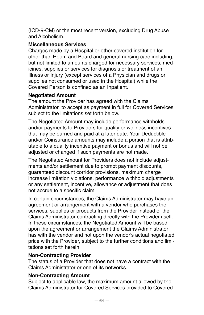(ICD-9-CM) or the most recent version, excluding Drug Abuse and Alcoholism.

#### **Miscellaneous Services**

Charges made by a Hospital or other covered institution for other than Room and Board and general nursing care including, but not limited to amounts charged for necessary services, medicines, supplies or services for diagnosis or treatment of an Illness or Injury (except services of a Physician and drugs or supplies not consumed or used in the Hospital) while the Covered Person is confined as an Inpatient.

#### **Negotiated Amount**

The amount the Provider has agreed with the Claims Administrator to accept as payment in full for Covered Services, subject to the limitations set forth below.

The Negotiated Amount may include performance withholds and/or payments to Providers for quality or wellness incentives that may be earned and paid at a later date. Your Deductible and/or Coinsurance amounts may include a portion that is attributable to a quality incentive payment or bonus and will not be adjusted or changed if such payments are not made.

The Negotiated Amount for Providers does not include adjustments and/or settlement due to prompt payment discounts, guaranteed discount corridor provisions, maximum charge increase limitation violations, performance withhold adjustments or any settlement, incentive, allowance or adjustment that does not accrue to a specific claim.

In certain circumstances, the Claims Administrator may have an agreement or arrangement with a vendor who purchases the services, supplies or products from the Provider instead of the Claims Administrator contracting directly with the Provider itself. In these circumstances, the Negotiated Amount will be based upon the agreement or arrangement the Claims Administrator has with the vendor and not upon the vendor's actual negotiated price with the Provider, subject to the further conditions and limitations set forth herein.

#### **Non-Contracting Provider**

The status of a Provider that does not have a contract with the Claims Administrator or one of its networks.

#### **Non-Contracting Amount**

Subject to applicable law, the maximum amount allowed by the Claims Administrator for Covered Services provided to Covered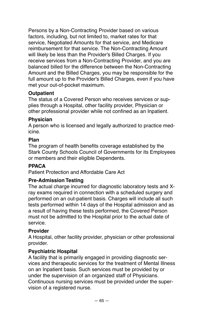Persons by a Non-Contracting Provider based on various factors, including, but not limited to, market rates for that service, Negotiated Amounts for that service, and Medicare reimbursement for that service. The Non-Contracting Amount will likely be less than the Provider's Billed Charges. If you receive services from a Non-Contracting Provider, and you are balanced billed for the difference between the Non-Contracting Amount and the Billed Charges, you may be responsible for the full amount up to the Provider's Billed Charges, even if you have met your out-of-pocket maximum.

#### **Outpatient**

The status of a Covered Person who receives services or supplies through a Hospital, other facility provider, Physician or other professional provider while not confined as an Inpatient.

#### **Physician**

A person who is licensed and legally authorized to practice medicine.

#### **Plan**

The program of health benefits coverage established by the Stark County Schools Council of Governments for its Employees or members and their eligible Dependents.

#### **PPACA**

Patient Protection and Affordable Care Act

#### **Pre-Admission Testing**

The actual charge incurred for diagnostic laboratory tests and Xray exams required in connection with a scheduled surgery and performed on an out-patient basis. Charges will include all such tests performed within 14 days of the Hospital admission and as a result of having these tests performed, the Covered Person must not be admitted to the Hospital prior to the actual date of service.

#### **Provider**

A Hospital, other facility provider, physician or other professional provider.

#### **Psychiatric Hospital**

A facility that is primarily engaged in providing diagnostic services and therapeutic services for the treatment of Mental Illness on an Inpatient basis. Such services must be provided by or under the supervision of an organized staff of Physicians. Continuous nursing services must be provided under the supervision of a registered nurse.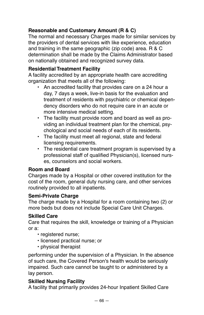#### **Reasonable and Customary Amount (R & C)**

The normal and necessary Charges made for similar services by the providers of dental services with like experience, education and training in the same geographic (zip code) area. R & C determination shall be made by the Claims Administrator based on nationally obtained and recognized survey data.

#### **Residential Treatment Facility**

A facility accredited by an appropriate health care accrediting organization that meets all of the following:

- An accredited facility that provides care on a 24 hour a day, 7 days a week, live-in basis for the evaluation and treatment of residents with psychiatric or chemical dependency disorders who do not require care in an acute or more intensive medical setting.
- The facility must provide room and board as well as providing an individual treatment plan for the chemical, psychological and social needs of each of its residents.
- The facility must meet all regional, state and federal licensing requirements.
- The residential care treatment program is supervised by a professional staff of qualified Physician(s), licensed nurses, counselors and social workers.

#### **Room and Board**

Charges made by a Hospital or other covered institution for the cost of the room, general duty nursing care, and other services routinely provided to all inpatients.

#### **Semi-Private Charge**

The charge made by a Hospital for a room containing two (2) or more beds but does not include Special Care Unit Charges.

#### **Skilled Care**

Care that requires the skill, knowledge or training of a Physician or a:

- registered nurse;
- licensed practical nurse; or
- physical therapist

performing under the supervision of a Physician. In the absence of such care, the Covered Person's health would be seriously impaired. Such care cannot be taught to or administered by a lay person.

#### **Skilled Nursing Facility**

A facility that primarily provides 24-hour Inpatient Skilled Care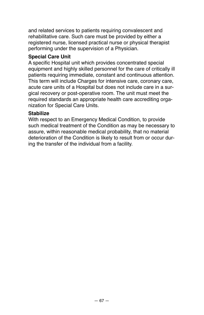and related services to patients requiring convalescent and rehabilitative care. Such care must be provided by either a registered nurse, licensed practical nurse or physical therapist performing under the supervision of a Physician.

#### **Special Care Unit**

A specific Hospital unit which provides concentrated special equipment and highly skilled personnel for the care of critically ill patients requiring immediate, constant and continuous attention. This term will include Charges for intensive care, coronary care, acute care units of a Hospital but does not include care in a surgical recovery or post-operative room. The unit must meet the required standards an appropriate health care accrediting organization for Special Care Units.

#### **Stabilize**

With respect to an Emergency Medical Condition, to provide such medical treatment of the Condition as may be necessary to assure, within reasonable medical probability, that no material deterioration of the Condition is likely to result from or occur during the transfer of the individual from a facility.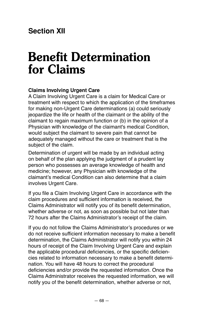## **Section XII**

## **Benefit Determination for Claims**

#### **Claims Involving Urgent Care**

A Claim Involving Urgent Care is a claim for Medical Care or treatment with respect to which the application of the timeframes for making non-Urgent Care determinations (a) could seriously jeopardize the life or health of the claimant or the ability of the claimant to regain maximum function or (b) in the opinion of a Physician with knowledge of the claimant's medical Condition, would subject the claimant to severe pain that cannot be adequately managed without the care or treatment that is the subject of the claim.

Determination of urgent will be made by an individual acting on behalf of the plan applying the judgment of a prudent lay person who possesses an average knowledge of health and medicine; however, any Physician with knowledge of the claimant's medical Condition can also determine that a claim involves Urgent Care.

If you file a Claim Involving Urgent Care in accordance with the claim procedures and sufficient information is received, the Claims Administrator will notify you of its benefit determination, whether adverse or not, as soon as possible but not later than 72 hours after the Claims Administrator's receipt of the claim.

If you do not follow the Claims Administrator's procedures or we do not receive sufficient information necessary to make a benefit determination, the Claims Administrator will notify you within 24 hours of receipt of the Claim Involving Urgent Care and explain the applicable procedural deficiencies, or the specific deficiencies related to information necessary to make a benefit determination. You will have 48 hours to correct the procedural deficiencies and/or provide the requested information. Once the Claims Administrator receives the requested information, we will notify you of the benefit determination, whether adverse or not,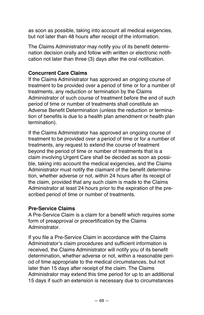as soon as possible, taking into account all medical exigencies, but not later than 48 hours after receipt of the information.

The Claims Administrator may notify you of its benefit determination decision orally and follow with written or electronic notification not later than three (3) days after the oral notification.

#### **Concurrent Care Claims**

If the Claims Administrator has approved an ongoing course of treatment to be provided over a period of time or for a number of treatments, any reduction or termination by the Claims Administrator of such course of treatment before the end of such period of time or number of treatments shall constitute an Adverse Benefit Determination (unless the reduction or termination of benefits is due to a health plan amendment or health plan termination).

If the Claims Administrator has approved an ongoing course of treatment to be provided over a period of time or for a number of treatments, any request to extend the course of treatment beyond the period of time or number of treatments that is a claim involving Urgent Care shall be decided as soon as possible, taking into account the medical exigencies, and the Claims Administrator must notify the claimant of the benefit determination, whether adverse or not, within 24 hours after its receipt of the claim, provided that any such claim is made to the Claims Administrator at least 24 hours prior to the expiration of the prescribed period of time or number of treatments.

#### **Pre-Service Claims**

A Pre-Service Claim is a claim for a benefit which requires some form of preapproval or precertification by the Claims Administrator.

If you file a Pre-Service Claim in accordance with the Claims Administrator's claim procedures and sufficient information is received, the Claims Administrator will notify you of its benefit determination, whether adverse or not, within a reasonable period of time appropriate to the medical circumstances, but not later than 15 days after receipt of the claim. The Claims Administrator may extend this time period for up to an additional 15 days if such an extension is necessary due to circumstances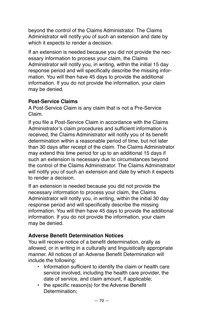beyond the control of the Claims Administrator. The Claims Administrator will notify you of such an extension and date by which it expects to render a decision.

If an extension is needed because you did not provide the necessary information to process your claim, the Claims Administrator will notify you, in writing, within the initial 15 day response period and will specifically describe the missing information. You will then have 45 days to provide the additional information. If you do not provide the information, your claim may be denied.

#### **Post-Service Claims**

A Post-Service Claim is any claim that is not a Pre-Service Claim.

If you file a Post-Service Claim in accordance with the Claims Administrator's claim procedures and sufficient information is received, the Claims Administrator will notify you of its benefit determination within a reasonable period of time, but not later than 30 days after receipt of the claim. The Claims Administrator may extend this time period for up to an additional 15 days if such an extension is necessary due to circumstances beyond the control of the Claims Administrator. The Claims Administrator will notify you of such an extension and date by which it expects to render a decision.

If an extension is needed because you did not provide the necessary information to process your claim, the Claims Administrator will notify you, in writing, within the initial 30 day response period and will specifically describe the missing information. You will then have 45 days to provide the additional information. If you do not provide the information, your claim may be denied.

#### **Adverse Benefit Determination Notices**

You will receive notice of a benefit determination, orally as allowed, or in writing in a culturally and linguistically appropriate manner. All notices of an Adverse Benefit Determination will include the following:

- Information sufficient to identify the claim or health care service involved, including the health care provider, the date of service, and claim amount, if applicable;
- the specific reason(s) for the Adverse Benefit Determination: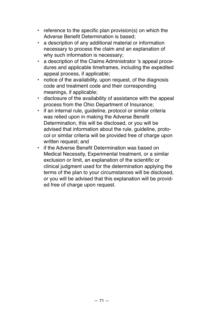- reference to the specific plan provision(s) on which the Adverse Benefit Determination is based;
- a description of any additional material or information necessary to process the claim and an explanation of why such information is necessary;
- a description of the Claims Administrator 's appeal procedures and applicable timeframes, including the expedited appeal process, if applicable;
- notice of the availability, upon request, of the diagnosis code and treatment code and their corresponding meanings, if applicable;
- disclosure of the availability of assistance with the appeal process from the Ohio Department of Insurance;
- if an internal rule, guideline, protocol or similar criteria was relied upon in making the Adverse Benefit Determination, this will be disclosed, or you will be advised that information about the rule, guideline, protocol or similar criteria will be provided free of charge upon written request; and
- if the Adverse Benefit Determination was based on Medical Necessity, Experimental treatment, or a similar exclusion or limit, an explanation of the scientific or clinical judgment used for the determination applying the terms of the plan to your circumstances will be disclosed, or you will be advised that this explanation will be provided free of charge upon request.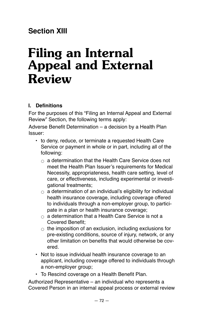# **Section XIII**

# **Filing an Internal Appeal and External Review**

# **I. Definitions**

For the purposes of this "Filing an Internal Appeal and External Review" Section, the following terms apply:

Adverse Benefit Determination – a decision by a Health Plan Issuer:

- to deny, reduce, or terminate a requested Health Care Service or payment in whole or in part, including all of the following:
	- $\circ$  a determination that the Health Care Service does not meet the Health Plan Issuer's requirements for Medical Necessity, appropriateness, health care setting, level of care, or effectiveness, including experimental or investigational treatments;
	- $\circ$  a determination of an individual's eligibility for individual health insurance coverage, including coverage offered to individuals through a non-employer group, to participate in a plan or health insurance coverage;
	- $\alpha$  a determination that a Health Care Service is not a Covered Benefit;
	- $\circ$  the imposition of an exclusion, including exclusions for pre-existing conditions, source of injury, network, or any other limitation on benefits that would otherwise be covered.
- Not to issue individual health insurance coverage to an applicant, including coverage offered to individuals through a non-employer group;
- To Rescind coverage on a Health Benefit Plan.

Authorized Representative – an individual who represents a Covered Person in an internal appeal process or external review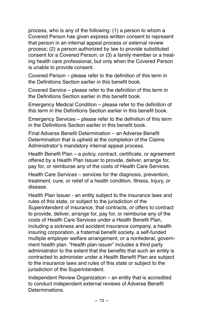process, who is any of the following: (1) a person to whom a Covered Person has given express written consent to represent that person in an internal appeal process or external review process; (2) a person authorized by law to provide substituted consent for a Covered Person; or (3) a family member or a treating health care professional, but only when the Covered Person is unable to provide consent.

Covered Person – please refer to the definition of this term in the Definitions Section earlier in this benefit book.

Covered Service – please refer to the definition of this term in the Definitions Section earlier in this benefit book.

Emergency Medical Condition – please refer to the definition of this term in the Definitions Section earlier in this benefit book.

Emergency Services – please refer to the definition of this term in the Definitions Section earlier in this benefit book.

Final Adverse Benefit Determination – an Adverse Benefit Determination that is upheld at the completion of the Claims Administrator's mandatory internal appeal process.

Health Benefit Plan – a policy, contract, certificate, or agreement offered by a Health Plan Issuer to provide, deliver, arrange for, pay for, or reimburse any of the costs of Health Care Services.

Health Care Services – services for the diagnosis, prevention, treatment, cure, or relief of a health condition, Illness, Injury, or disease.

Health Plan Issuer - an entity subject to the insurance laws and rules of this state, or subject to the jurisdiction of the Superintendent of insurance, that contracts, or offers to contract to provide, deliver, arrange for, pay for, or reimburse any of the costs of Health Care Services under a Health Benefit Plan, including a sickness and accident insurance company, a health insuring corporation, a fraternal benefit society, a self-funded multiple employer welfare arrangement, or a nonfederal, government health plan. "Health plan issuer" includes a third party administrator to the extent that the benefits that such an entity is contracted to administer under a Health Benefit Plan are subject to the insurance laws and rules of this state or subject to the jurisdiction of the Superintendent.

Independent Review Organization – an entity that is accredited to conduct independent external reviews of Adverse Benefit **Determinations**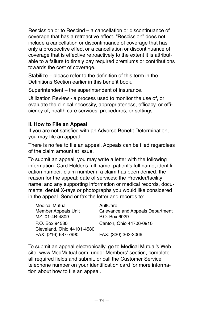Rescission or to Rescind – a cancellation or discontinuance of coverage that has a retroactive effect. "Rescission" does not include a cancellation or discontinuance of coverage that has only a prospective effect or a cancellation or discontinuance of coverage that is effective retroactively to the extent it is attributable to a failure to timely pay required premiums or contributions towards the cost of coverage.

Stabilize – please refer to the definition of this term in the Definitions Section earlier in this benefit book.

Superintendent – the superintendent of insurance.

Utilization Review - a process used to monitor the use of, or evaluate the clinical necessity, appropriateness, efficacy, or efficiency of, health care services, procedures, or settings.

# **II. How to File an Appeal**

If you are not satisfied with an Adverse Benefit Determination, you may file an appeal.

There is no fee to file an appeal. Appeals can be filed regardless of the claim amount at issue.

To submit an appeal, you may write a letter with the following information: Card Holder's full name; patient's full name; identification number; claim number if a claim has been denied; the reason for the appeal; date of services; the Provider/facility name; and any supporting information or medical records, documents, dental X-rays or photographs you would like considered in the appeal. Send or fax the letter and records to:

| <b>Medical Mutual</b>      | AultCare                         |
|----------------------------|----------------------------------|
| Member Appeals Unit        | Grievance and Appeals Department |
| MZ: 01-4B-4809             | P.O. Box 6029                    |
| P.O. Box 94580             | Canton, Ohio 44706-0910          |
| Cleveland, Ohio 44101-4580 |                                  |
| FAX: (216) 687-7990        | FAX: (330) 363-3066              |

To submit an appeal electronically, go to Medical Mutual's Web site, www.MedMutual.com, under Members' section, complete all required fields and submit, or call the Customer Service telephone number on your identification card for more information about how to file an appeal.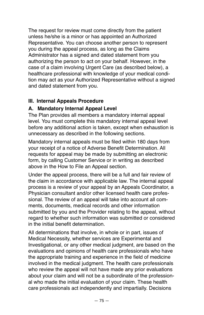The request for review must come directly from the patient unless he/she is a minor or has appointed an Authorized Representative. You can choose another person to represent you during the appeal process, as long as the Claims Administrator has a signed and dated statement from you authorizing the person to act on your behalf. However, in the case of a claim involving Urgent Care (as described below), a healthcare professional with knowledge of your medical condition may act as your Authorized Representative without a signed and dated statement from you.

# **III. Internal Appeals Procedure**

# **A. Mandatory Internal Appeal Level**

The Plan provides all members a mandatory internal appeal level. You must complete this mandatory internal appeal level before any additional action is taken, except when exhaustion is unnecessary as described in the following sections.

Mandatory internal appeals must be filed within 180 days from your receipt of a notice of Adverse Benefit Determination. All requests for appeal may be made by submitting an electronic form, by calling Customer Service or in writing as described above in the How to File an Appeal section.

Under the appeal process, there will be a full and fair review of the claim in accordance with applicable law. The internal appeal process is a review of your appeal by an Appeals Coordinator, a Physician consultant and/or other licensed health care professional. The review of an appeal will take into account all comments, documents, medical records and other information submitted by you and the Provider relating to the appeal, without regard to whether such information was submitted or considered in the initial benefit determination.

All determinations that involve, in whole or in part, issues of Medical Necessity, whether services are Experimental and Investigational, or any other medical judgment, are based on the evaluations and opinions of health care professionals who have the appropriate training and experience in the field of medicine involved in the medical judgment. The health care professionals who review the appeal will not have made any prior evaluations about your claim and will not be a subordinate of the professional who made the initial evaluation of your claim. These health care professionals act independently and impartially. Decisions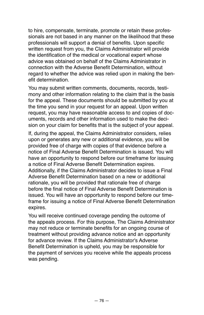to hire, compensate, terminate, promote or retain these professionals are not based in any manner on the likelihood that these professionals will support a denial of benefits. Upon specific written request from you, the Claims Administrator will provide the identification of the medical or vocational expert whose advice was obtained on behalf of the Claims Administrator in connection with the Adverse Benefit Determination, without regard to whether the advice was relied upon in making the benefit determination.

You may submit written comments, documents, records, testimony and other information relating to the claim that is the basis for the appeal. These documents should be submitted by you at the time you send in your request for an appeal. Upon written request, you may have reasonable access to and copies of documents, records and other information used to make the decision on your claim for benefits that is the subject of your appeal.

If, during the appeal, the Claims Administrator considers, relies upon or generates any new or additional evidence, you will be provided free of charge with copies of that evidence before a notice of Final Adverse Benefit Determination is issued. You will have an opportunity to respond before our timeframe for issuing a notice of Final Adverse Benefit Determination expires. Additionally, if the Claims Administrator decides to issue a Final Adverse Benefit Determination based on a new or additional rationale, you will be provided that rationale free of charge before the final notice of Final Adverse Benefit Determination is issued. You will have an opportunity to respond before our timeframe for issuing a notice of Final Adverse Benefit Determination expires.

You will receive continued coverage pending the outcome of the appeals process. For this purpose, The Claims Administrator may not reduce or terminate benefits for an ongoing course of treatment without providing advance notice and an opportunity for advance review. If the Claims Administrator's Adverse Benefit Determination is upheld, you may be responsible for the payment of services you receive while the appeals process was pending.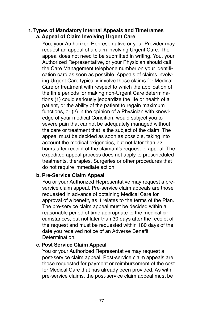### **1. Types of Mandatory Internal Appeals and Timeframes a. Appeal of Claim Involving Urgent Care**

You, your Authorized Representative or your Provider may request an appeal of a claim involving Urgent Care. The appeal does not need to be submitted in writing. You, your Authorized Representative, or your Physician should call the Care Management telephone number on your identification card as soon as possible. Appeals of claims involving Urgent Care typically involve those claims for Medical Care or treatment with respect to which the application of the time periods for making non-Urgent Care determinations (1) could seriously jeopardize the life or health of a patient, or the ability of the patient to regain maximum functions, or (2) in the opinion of a Physician with knowledge of your medical Condition, would subject you to severe pain that cannot be adequately managed without the care or treatment that is the subject of the claim. The appeal must be decided as soon as possible, taking into account the medical exigencies, but not later than 72 hours after receipt of the claimant's request to appeal. The expedited appeal process does not apply to prescheduled treatments, therapies, Surgeries or other procedures that do not require immediate action.

# **b. Pre-Service Claim Appeal**

You or your Authorized Representative may request a preservice claim appeal. Pre-service claim appeals are those requested in advance of obtaining Medical Care for approval of a benefit, as it relates to the terms of the Plan. The pre-service claim appeal must be decided within a reasonable period of time appropriate to the medical circumstances, but not later than 30 days after the receipt of the request and must be requested within 180 days of the date you received notice of an Adverse Benefit Determination.

### **c. Post Service Claim Appeal**

You or your Authorized Representative may request a post-service claim appeal. Post-service claim appeals are those requested for payment or reimbursement of the cost for Medical Care that has already been provided. As with pre-service claims, the post-service claim appeal must be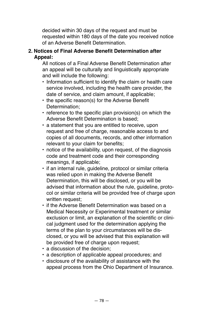decided within 30 days of the request and must be requested within 180 days of the date you received notice of an Adverse Benefit Determination.

# **2. Notices of Final Adverse Benefit Determination after Appeal:**

All notices of a Final Adverse Benefit Determination after an appeal will be culturally and linguistically appropriate and will include the following:

- Information sufficient to identify the claim or health care service involved, including the health care provider, the date of service, and claim amount, if applicable;
- the specific reason(s) for the Adverse Benefit Determination;
- reference to the specific plan provision(s) on which the Adverse Benefit Determination is based;
- a statement that you are entitled to receive, upon request and free of charge, reasonable access to and copies of all documents, records, and other information relevant to your claim for benefits;
- notice of the availability, upon request, of the diagnosis code and treatment code and their corresponding meanings, if applicable;
- if an internal rule, guideline, protocol or similar criteria was relied upon in making the Adverse Benefit Determination, this will be disclosed, or you will be advised that information about the rule, guideline, protocol or similar criteria will be provided free of charge upon written request:
- if the Adverse Benefit Determination was based on a Medical Necessity or Experimental treatment or similar exclusion or limit, an explanation of the scientific or clinical judgment used for the determination applying the terms of the plan to your circumstances will be disclosed, or you will be advised that this explanation will be provided free of charge upon request;
- a discussion of the decision;
- a description of applicable appeal procedures; and
- disclosure of the availability of assistance with the appeal process from the Ohio Department of Insurance.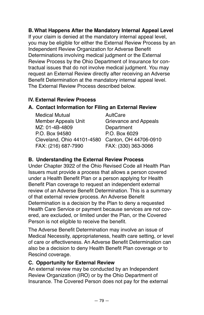# **B. What Happens After the Mandatory Internal Appeal Level**

If your claim is denied at the mandatory internal appeal level, you may be eligible for either the External Review Process by an Independent Review Organization for Adverse Benefit Determinations involving medical judgment or the External Review Process by the Ohio Department of Insurance for contractual issues that do not involve medical judgment. You may request an External Review directly after receiving an Adverse Benefit Determination at the mandatory internal appeal level. The External Review Process described below.

# **IV. External Review Process**

# **A. Contact Information for Filing an External Review**

Medical Mutual **AultCare** Member Appeals Unit Grievance and Appeals MZ: 01-4B-4809 Department P.O. Box 94580 P.O. Box 6029 Cleveland, Ohio 44101-4580 Canton, OH 44706-0910 FAX: (216) 687-7990 FAX: (330) 363-3066

# **B. Understanding the External Review Process**

Under Chapter 3922 of the Ohio Revised Code all Health Plan Issuers must provide a process that allows a person covered under a Health Benefit Plan or a person applying for Health Benefit Plan coverage to request an independent external review of an Adverse Benefit Determination. This is a summary of that external review process. An Adverse Benefit Determination is a decision by the Plan to deny a requested Health Care Service or payment because services are not covered, are excluded, or limited under the Plan, or the Covered Person is not eligible to receive the benefit.

The Adverse Benefit Determination may involve an issue of Medical Necessity, appropriateness, health care setting, or level of care or effectiveness. An Adverse Benefit Determination can also be a decision to deny Health Benefit Plan coverage or to Rescind coverage.

### **C. Opportunity for External Review**

An external review may be conducted by an Independent Review Organization (IRO) or by the Ohio Department of Insurance. The Covered Person does not pay for the external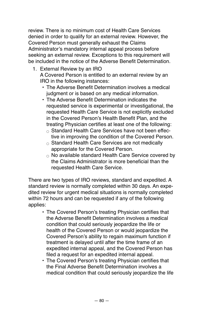review. There is no minimum cost of Health Care Services denied in order to qualify for an external review. However, the Covered Person must generally exhaust the Claims Administrator's mandatory internal appeal process before seeking an external review. Exceptions to this requirement will be included in the notice of the Adverse Benefit Determination.

- 1. External Review by an IRO A Covered Person is entitled to an external review by an IRO in the following instances:
	- The Adverse Benefit Determination involves a medical judgment or is based on any medical information.
	- The Adverse Benefit Determination indicates the requested service is experimental or investigational, the requested Health Care Service is not explicitly excluded in the Covered Person's Health Benefit Plan, and the treating Physician certifies at least one of the following:
		- $\circ$  Standard Health Care Services have not been effective in improving the condition of the Covered Person.
		- $\circ$  Standard Health Care Services are not medically appropriate for the Covered Person.
		- $\circ$  No available standard Health Care Service covered by the Claims Administrator is more beneficial than the requested Health Care Service.

There are two types of IRO reviews, standard and expedited. A standard review is normally completed within 30 days. An expedited review for urgent medical situations is normally completed within 72 hours and can be requested if any of the following applies:

- The Covered Person's treating Physician certifies that the Adverse Benefit Determination involves a medical condition that could seriously jeopardize the life or health of the Covered Person or would jeopardize the Covered Person's ability to regain maximum function if treatment is delayed until after the time frame of an expedited internal appeal, and the Covered Person has filed a request for an expedited internal appeal.
- The Covered Person's treating Physician certifies that the Final Adverse Benefit Determination involves a medical condition that could seriously jeopardize the life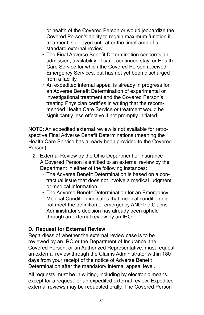or health of the Covered Person or would jeopardize the Covered Person's ability to regain maximum function if treatment is delayed until after the timeframe of a standard external review.

- The Final Adverse Benefit Determination concerns an admission, availability of care, continued stay, or Health Care Service for which the Covered Person received Emergency Services, but has not yet been discharged from a facility.
- An expedited internal appeal is already in progress for an Adverse Benefit Determination of experimental or investigational treatment and the Covered Person's treating Physician certifies in writing that the recommended Health Care Service or treatment would be significantly less effective if not promptly initiated.

NOTE: An expedited external review is not available for retrospective Final Adverse Benefit Determinations (meaning the Health Care Service has already been provided to the Covered Person).

- 2. External Review by the Ohio Department of Insurance A Covered Person is entitled to an external review by the Department in either of the following instances:
	- The Adverse Benefit Determination is based on a contractual issue that does not involve a medical judgment or medical information.
	- The Adverse Benefit Determination for an Emergency Medical Condition indicates that medical condition did not meet the definition of emergency AND the Claims Administrator's decision has already been upheld through an external review by an IRO.

# **D. Request for External Review**

Regardless of whether the external review case is to be reviewed by an IRO or the Department of Insurance, the Covered Person, or an Authorized Representative, must request an external review through the Claims Administrator within 180 days from your receipt of the notice of Adverse Benefit Determination after the mandatory internal appeal level.

All requests must be in writing, including by electronic means, except for a request for an expedited external review. Expedited external reviews may be requested orally. The Covered Person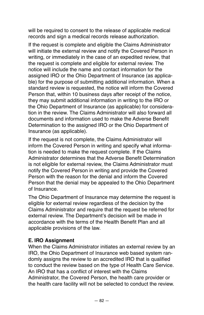will be required to consent to the release of applicable medical records and sign a medical records release authorization.

If the request is complete and eligible the Claims Administrator will initiate the external review and notify the Covered Person in writing, or immediately in the case of an expedited review, that the request is complete and eligible for external review. The notice will include the name and contact information for the assigned IRO or the Ohio Department of Insurance (as applicable) for the purpose of submitting additional information. When a standard review is requested, the notice will inform the Covered Person that, within 10 business days after receipt of the notice, they may submit additional information in writing to the IRO or the Ohio Department of Insurance (as applicable) for consideration in the review. The Claims Administrator will also forward all documents and information used to make the Adverse Benefit Determination to the assigned IRO or the Ohio Department of Insurance (as applicable).

If the request is not complete, the Claims Administrator will inform the Covered Person in writing and specify what information is needed to make the request complete. If the Claims Administrator determines that the Adverse Benefit Determination is not eligible for external review, the Claims Administrator must notify the Covered Person in writing and provide the Covered Person with the reason for the denial and inform the Covered Person that the denial may be appealed to the Ohio Department of Insurance.

The Ohio Department of Insurance may determine the request is eligible for external review regardless of the decision by the Claims Administrator and require that the request be referred for external review. The Department's decision will be made in accordance with the terms of the Health Benefit Plan and all applicable provisions of the law.

### **E. IRO Assignment**

When the Claims Administrator initiates an external review by an IRO, the Ohio Department of Insurance web based system randomly assigns the review to an accredited IRO that is qualified to conduct the review based on the type of Health Care Service. An IRO that has a conflict of interest with the Claims Administrator, the Covered Person, the health care provider or the health care facility will not be selected to conduct the review.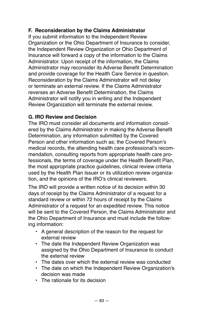# **F. Reconsideration by the Claims Administrator**

If you submit information to the Independent Review Organization or the Ohio Department of Insurance to consider, the Independent Review Organization or Ohio Department of Insurance will forward a copy of the information to the Claims Administrator. Upon receipt of the information, the Claims Administrator may reconsider its Adverse Benefit Determination and provide coverage for the Health Care Service in question. Reconsideration by the Claims Administrator will not delay or terminate an external review. If the Claims Administrator reverses an Adverse Benefit Determination, the Claims Administrator will notify you in writing and the Independent Review Organization will terminate the external review.

# **G. IRO Review and Decision**

The IRO must consider all documents and information considered by the Claims Administrator in making the Adverse Benefit Determination, any information submitted by the Covered Person and other information such as; the Covered Person's medical records, the attending health care professional's recommendation, consulting reports from appropriate health care professionals, the terms of coverage under the Health Benefit Plan, the most appropriate practice guidelines, clinical review criteria used by the Health Plan Issuer or its utilization review organization, and the opinions of the IRO's clinical reviewers.

The IRO will provide a written notice of its decision within 30 days of receipt by the Claims Administrator of a request for a standard review or within 72 hours of receipt by the Claims Administrator of a request for an expedited review. This notice will be sent to the Covered Person, the Claims Administrator and the Ohio Department of Insurance and must include the following information:

- A general description of the reason for the request for external review
- The date the Independent Review Organization was assigned by the Ohio Department of Insurance to conduct the external review
- The dates over which the external review was conducted
- The date on which the Independent Review Organization's decision was made
- The rationale for its decision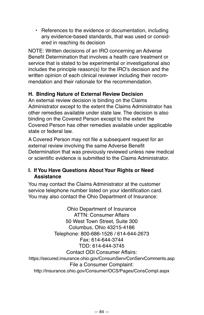• References to the evidence or documentation, including any evidence‐based standards, that was used or considered in reaching its decision

NOTE: Written decisions of an IRO concerning an Adverse Benefit Determination that involves a health care treatment or service that is stated to be experimental or investigational also includes the principle reason(s) for the IRO's decision and the written opinion of each clinical reviewer including their recommendation and their rationale for the recommendation.

# **H. Binding Nature of External Review Decision**

An external review decision is binding on the Claims Administrator except to the extent the Claims Administrator has other remedies available under state law. The decision is also binding on the Covered Person except to the extent the Covered Person has other remedies available under applicable state or federal law.

A Covered Person may not file a subsequent request for an external review involving the same Adverse Benefit Determination that was previously reviewed unless new medical or scientific evidence is submitted to the Claims Administrator.

# **I. If You Have Questions About Your Rights or Need Assistance**

You may contact the Claims Administrator at the customer service telephone number listed on your identification card. You may also contact the Ohio Department of Insurance:

Ohio Department of Insurance ATTN: Consumer Affairs 50 West Town Street, Suite 300 Columbus, Ohio 43215-4186 Telephone: 800-686-1526 / 614-644-2673 Fax: 614-644-3744 TDD: 614-644-3745 Contact ODI Consumer Affairs: https://secured.insurance.ohio.gov/ConsumServ/ConServComments.asp File a Consumer Complaint: http://insurance.ohio.gov/Consumer/OCS/Pages/ConsCompl.aspx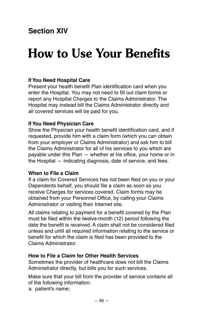# **Section XIV**

# **How to Use Your Benefits**

# **If You Need Hospital Care**

Present your health benefit Plan identification card when you enter the Hospital. You may not need to fill out claim forms or report any Hospital Charges to the Claims Administrator. The Hospital may instead bill the Claims Administrator directly and all covered services will be paid for you.

#### **If You Need Physician Care**

Show the Physician your health benefit identification card, and if requested, provide him with a claim form (which you can obtain from your employer or Claims Administrator) and ask him to bill the Claims Administrator for all of his services to you which are payable under this Plan — whether at his office, your home or in the Hospital — indicating diagnosis, date of service, and fees.

### **When to File a Claim**

If a claim for Covered Services has not been filed on you or your Dependents behalf, you should file a claim as soon as you receive Charges for services covered. Claim forms may be obtained from your Personnel Office, by calling your Claims Administrator or visiting their Internet site.

All claims relating to payment for a benefit covered by the Plan must be filed within the twelve-month (12) period following the date the benefit is received. A claim shall not be considered filed unless and until all required information relating to the service or benefit for which the claim is filed has been provided to the Claims Administrator.

#### **How to File a Claim for Other Health Services**

Sometimes the provider of healthcare does not bill the Claims Administrator directly, but bills you for such services.

Make sure that your bill from the provider of service contains all of the following information:

a. patient's name;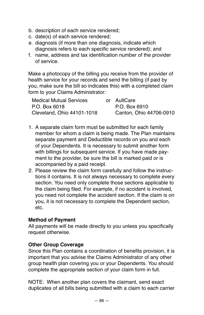- b. description of each service rendered;
- c. date(s) of each service rendered;
- e. diagnosis (if more than one diagnosis, indicate which diagnosis refers to each specific service rendered); and
- f. name, address and tax identification number of the provider of service.

Make a photocopy of the billing you receive from the provider of health service for your records and send the billing (if paid by you, make sure the bill so indicates this) with a completed claim form to your Claims Administrator:

| <b>Medical Mutual Services</b> | or AultCare             |
|--------------------------------|-------------------------|
| P.O. Box 6018                  | P.O. Box 6910           |
| Cleveland, Ohio 44101-1018     | Canton, Ohio 44706-0910 |

- 1. A separate claim form must be submitted for each family member for whom a claim is being made. The Plan maintains separate payment and Deductible records on you and each of your Dependents. It is necessary to submit another form with billings for subsequent service. If you have made payment to the provider, be sure the bill is marked paid or is accompanied by a paid receipt.
- 2. Please review the claim form carefully and follow the instructions it contains. It is not always necessary to complete every section. You need only complete those sections applicable to the claim being filed. For example, if no accident is involved, you need not complete the accident section. If the claim is on you, it is not necessary to complete the Dependent section, etc.

# **Method of Payment**

All payments will be made directly to you unless you specifically request otherwise.

### **Other Group Coverage**

Since this Plan contains a coordination of benefits provision, it is important that you advise the Claims Administrator of any other group health plan covering you or your Dependents. You should complete the appropriate section of your claim form in full.

NOTE: When another plan covers the claimant, send exact duplicates of all bills being submitted with a claim to each carrier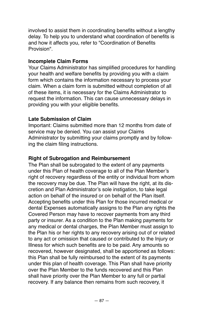involved to assist them in coordinating benefits without a lengthy delay. To help you to understand what coordination of benefits is and how it affects you, refer to "Coordination of Benefits Provision".

## **Incomplete Claim Forms**

Your Claims Administrator has simplified procedures for handling your health and welfare benefits by providing you with a claim form which contains the information necessary to process your claim. When a claim form is submitted without completion of all of these items, it is necessary for the Claims Administrator to request the information. This can cause unnecessary delays in providing you with your eligible benefits.

# **Late Submission of Claim**

Important: Claims submitted more than 12 months from date of service may be denied. You can assist your Claims Administrator by submitting your claims promptly and by following the claim filing instructions.

# **Right of Subrogation and Reimbursement**

The Plan shall be subrogated to the extent of any payments under this Plan of health coverage to all of the Plan Member's right of recovery regardless of the entity or individual from whom the recovery may be due. The Plan will have the right, at its discretion and Plan Administrator's sole instigation, to take legal action on behalf of the insured or on behalf of the Plan itself. Accepting benefits under this Plan for those incurred medical or dental Expenses automatically assigns to the Plan any rights the Covered Person may have to recover payments from any third party or insurer. As a condition to the Plan making payments for any medical or dental charges, the Plan Member must assign to the Plan his or her rights to any recovery arising out of or related to any act or omission that caused or contributed to the Injury or Illness for which such benefits are to be paid. Any amounts so recovered, however designated, shall be apportioned as follows: this Plan shall be fully reimbursed to the extent of its payments under this plan of health coverage. This Plan shall have priority over the Plan Member to the funds recovered and this Plan shall have priority over the Plan Member to any full or partial recovery. If any balance then remains from such recovery, it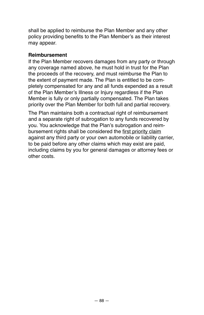shall be applied to reimburse the Plan Member and any other policy providing benefits to the Plan Member's as their interest may appear.

#### **Reimbursement**

If the Plan Member recovers damages from any party or through any coverage named above, he must hold in trust for the Plan the proceeds of the recovery, and must reimburse the Plan to the extent of payment made. The Plan is entitled to be completely compensated for any and all funds expended as a result of the Plan Member's Illness or Injury regardless if the Plan Member is fully or only partially compensated. The Plan takes priority over the Plan Member for both full and partial recovery.

The Plan maintains both a contractual right of reimbursement and a separate right of subrogation to any funds recovered by you. You acknowledge that the Plan's subrogation and reimbursement rights shall be considered the first priority claim against any third party or your own automobile or liability carrier, to be paid before any other claims which may exist are paid, including claims by you for general damages or attorney fees or other costs.